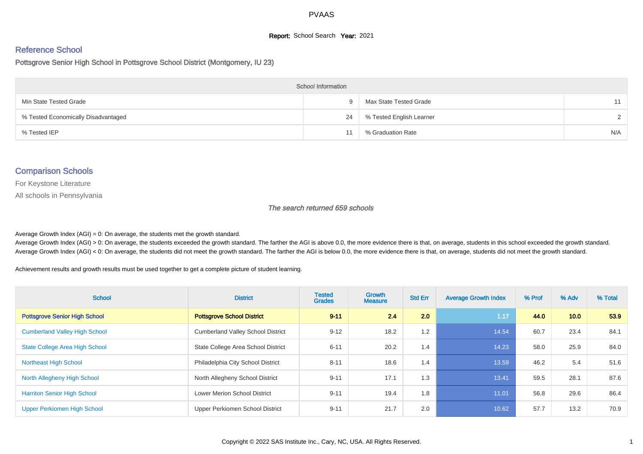#### **Report:** School Search **Year:** 2021

# Reference School

Pottsgrove Senior High School in Pottsgrove School District (Montgomery, IU 23)

| <b>School Information</b>           |    |                          |     |  |  |  |  |  |
|-------------------------------------|----|--------------------------|-----|--|--|--|--|--|
| Min State Tested Grade              | 9. | Max State Tested Grade   | 11  |  |  |  |  |  |
| % Tested Economically Disadvantaged | 24 | % Tested English Learner |     |  |  |  |  |  |
| % Tested IEP                        |    | % Graduation Rate        | N/A |  |  |  |  |  |

#### Comparison Schools

For Keystone Literature

All schools in Pennsylvania

The search returned 659 schools

Average Growth Index  $(AGI) = 0$ : On average, the students met the growth standard.

Average Growth Index (AGI) > 0: On average, the students exceeded the growth standard. The farther the AGI is above 0.0, the more evidence there is that, on average, students in this school exceeded the growth standard. Average Growth Index (AGI) < 0: On average, the students did not meet the growth standard. The farther the AGI is below 0.0, the more evidence there is that, on average, students did not meet the growth standard.

Achievement results and growth results must be used together to get a complete picture of student learning.

| <b>School</b>                         | <b>District</b>                          | <b>Tested</b><br><b>Grades</b> | Growth<br><b>Measure</b> | <b>Std Err</b> | <b>Average Growth Index</b> | % Prof | % Adv | % Total |
|---------------------------------------|------------------------------------------|--------------------------------|--------------------------|----------------|-----------------------------|--------|-------|---------|
| <b>Pottsgrove Senior High School</b>  | <b>Pottsgrove School District</b>        | $9 - 11$                       | 2.4                      | 2.0            | 1.17                        | 44.0   | 10.0  | 53.9    |
| <b>Cumberland Valley High School</b>  | <b>Cumberland Valley School District</b> | $9 - 12$                       | 18.2                     | 1.2            | 14.54                       | 60.7   | 23.4  | 84.1    |
| <b>State College Area High School</b> | State College Area School District       | $6 - 11$                       | 20.2                     | 1.4            | 14.23                       | 58.0   | 25.9  | 84.0    |
| <b>Northeast High School</b>          | Philadelphia City School District        | $8 - 11$                       | 18.6                     | 1.4            | 13.59                       | 46.2   | 5.4   | 51.6    |
| North Allegheny High School           | North Allegheny School District          | $9 - 11$                       | 17.1                     | 1.3            | 13.41                       | 59.5   | 28.1  | 87.6    |
| <b>Harriton Senior High School</b>    | <b>Lower Merion School District</b>      | $9 - 11$                       | 19.4                     | 1.8            | 11.01                       | 56.8   | 29.6  | 86.4    |
| Upper Perkiomen High School           | Upper Perkiomen School District          | $9 - 11$                       | 21.7                     | 2.0            | 10.62                       | 57.7   | 13.2  | 70.9    |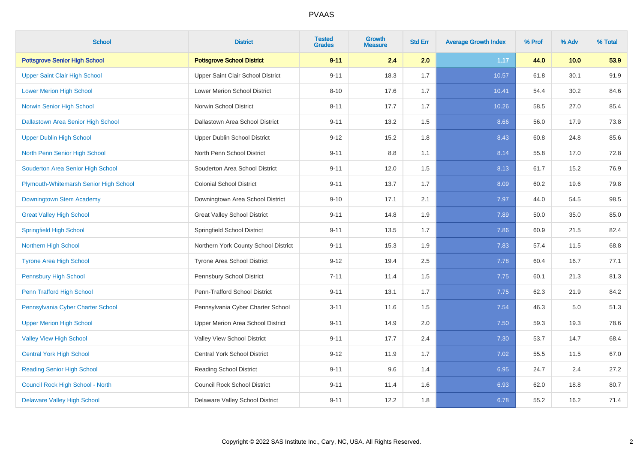| <b>School</b>                          | <b>District</b>                      | <b>Tested</b><br><b>Grades</b> | Growth<br><b>Measure</b> | <b>Std Err</b> | <b>Average Growth Index</b> | % Prof | % Adv | % Total |
|----------------------------------------|--------------------------------------|--------------------------------|--------------------------|----------------|-----------------------------|--------|-------|---------|
| <b>Pottsgrove Senior High School</b>   | <b>Pottsgrove School District</b>    | $9 - 11$                       | 2.4                      | 2.0            | 1.17                        | 44.0   | 10.0  | 53.9    |
| <b>Upper Saint Clair High School</b>   | Upper Saint Clair School District    | $9 - 11$                       | 18.3                     | 1.7            | 10.57                       | 61.8   | 30.1  | 91.9    |
| <b>Lower Merion High School</b>        | Lower Merion School District         | $8 - 10$                       | 17.6                     | 1.7            | 10.41                       | 54.4   | 30.2  | 84.6    |
| Norwin Senior High School              | Norwin School District               | $8 - 11$                       | 17.7                     | 1.7            | 10.26                       | 58.5   | 27.0  | 85.4    |
| Dallastown Area Senior High School     | Dallastown Area School District      | $9 - 11$                       | 13.2                     | 1.5            | 8.66                        | 56.0   | 17.9  | 73.8    |
| <b>Upper Dublin High School</b>        | Upper Dublin School District         | $9 - 12$                       | 15.2                     | 1.8            | 8.43                        | 60.8   | 24.8  | 85.6    |
| North Penn Senior High School          | North Penn School District           | $9 - 11$                       | 8.8                      | 1.1            | 8.14                        | 55.8   | 17.0  | 72.8    |
| Souderton Area Senior High School      | Souderton Area School District       | $9 - 11$                       | 12.0                     | 1.5            | 8.13                        | 61.7   | 15.2  | 76.9    |
| Plymouth-Whitemarsh Senior High School | <b>Colonial School District</b>      | $9 - 11$                       | 13.7                     | 1.7            | 8.09                        | 60.2   | 19.6  | 79.8    |
| Downingtown Stem Academy               | Downingtown Area School District     | $9 - 10$                       | 17.1                     | 2.1            | 7.97                        | 44.0   | 54.5  | 98.5    |
| <b>Great Valley High School</b>        | <b>Great Valley School District</b>  | $9 - 11$                       | 14.8                     | 1.9            | 7.89                        | 50.0   | 35.0  | 85.0    |
| <b>Springfield High School</b>         | Springfield School District          | $9 - 11$                       | 13.5                     | 1.7            | 7.86                        | 60.9   | 21.5  | 82.4    |
| <b>Northern High School</b>            | Northern York County School District | $9 - 11$                       | 15.3                     | 1.9            | 7.83                        | 57.4   | 11.5  | 68.8    |
| <b>Tyrone Area High School</b>         | Tyrone Area School District          | $9 - 12$                       | 19.4                     | 2.5            | 7.78                        | 60.4   | 16.7  | 77.1    |
| Pennsbury High School                  | Pennsbury School District            | $7 - 11$                       | 11.4                     | 1.5            | 7.75                        | 60.1   | 21.3  | 81.3    |
| Penn Trafford High School              | Penn-Trafford School District        | $9 - 11$                       | 13.1                     | 1.7            | 7.75                        | 62.3   | 21.9  | 84.2    |
| Pennsylvania Cyber Charter School      | Pennsylvania Cyber Charter School    | $3 - 11$                       | 11.6                     | 1.5            | 7.54                        | 46.3   | 5.0   | 51.3    |
| <b>Upper Merion High School</b>        | Upper Merion Area School District    | $9 - 11$                       | 14.9                     | 2.0            | 7.50                        | 59.3   | 19.3  | 78.6    |
| <b>Valley View High School</b>         | Valley View School District          | $9 - 11$                       | 17.7                     | 2.4            | 7.30                        | 53.7   | 14.7  | 68.4    |
| <b>Central York High School</b>        | <b>Central York School District</b>  | $9 - 12$                       | 11.9                     | 1.7            | 7.02                        | 55.5   | 11.5  | 67.0    |
| <b>Reading Senior High School</b>      | <b>Reading School District</b>       | $9 - 11$                       | 9.6                      | 1.4            | 6.95                        | 24.7   | 2.4   | 27.2    |
| Council Rock High School - North       | <b>Council Rock School District</b>  | $9 - 11$                       | 11.4                     | 1.6            | 6.93                        | 62.0   | 18.8  | 80.7    |
| <b>Delaware Valley High School</b>     | Delaware Valley School District      | $9 - 11$                       | 12.2                     | 1.8            | 6.78                        | 55.2   | 16.2  | 71.4    |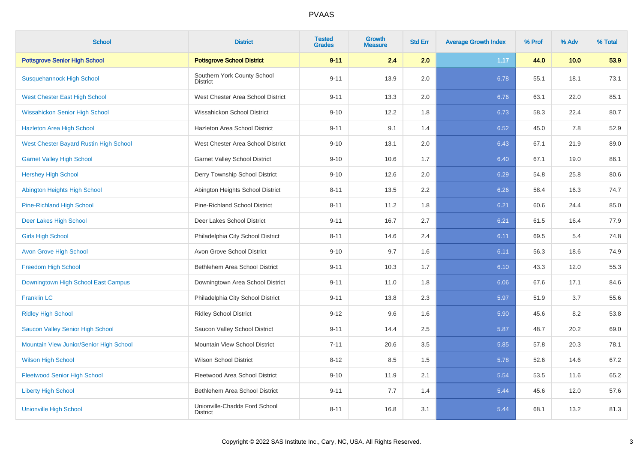| <b>School</b>                           | <b>District</b>                                  | <b>Tested</b><br><b>Grades</b> | Growth<br><b>Measure</b> | <b>Std Err</b> | <b>Average Growth Index</b> | % Prof | % Adv | % Total |
|-----------------------------------------|--------------------------------------------------|--------------------------------|--------------------------|----------------|-----------------------------|--------|-------|---------|
| <b>Pottsgrove Senior High School</b>    | <b>Pottsgrove School District</b>                | $9 - 11$                       | 2.4                      | 2.0            | 1.17                        | 44.0   | 10.0  | 53.9    |
| <b>Susquehannock High School</b>        | Southern York County School<br><b>District</b>   | $9 - 11$                       | 13.9                     | 2.0            | 6.78                        | 55.1   | 18.1  | 73.1    |
| West Chester East High School           | West Chester Area School District                | $9 - 11$                       | 13.3                     | 2.0            | 6.76                        | 63.1   | 22.0  | 85.1    |
| <b>Wissahickon Senior High School</b>   | Wissahickon School District                      | $9 - 10$                       | 12.2                     | 1.8            | 6.73                        | 58.3   | 22.4  | 80.7    |
| <b>Hazleton Area High School</b>        | Hazleton Area School District                    | $9 - 11$                       | 9.1                      | 1.4            | 6.52                        | 45.0   | 7.8   | 52.9    |
| West Chester Bayard Rustin High School  | West Chester Area School District                | $9 - 10$                       | 13.1                     | 2.0            | 6.43                        | 67.1   | 21.9  | 89.0    |
| <b>Garnet Valley High School</b>        | <b>Garnet Valley School District</b>             | $9 - 10$                       | 10.6                     | 1.7            | 6.40                        | 67.1   | 19.0  | 86.1    |
| <b>Hershey High School</b>              | Derry Township School District                   | $9 - 10$                       | 12.6                     | 2.0            | 6.29                        | 54.8   | 25.8  | 80.6    |
| Abington Heights High School            | Abington Heights School District                 | $8 - 11$                       | 13.5                     | 2.2            | 6.26                        | 58.4   | 16.3  | 74.7    |
| <b>Pine-Richland High School</b>        | Pine-Richland School District                    | $8 - 11$                       | 11.2                     | 1.8            | 6.21                        | 60.6   | 24.4  | 85.0    |
| Deer Lakes High School                  | Deer Lakes School District                       | $9 - 11$                       | 16.7                     | 2.7            | 6.21                        | 61.5   | 16.4  | 77.9    |
| <b>Girls High School</b>                | Philadelphia City School District                | $8 - 11$                       | 14.6                     | 2.4            | 6.11                        | 69.5   | 5.4   | 74.8    |
| <b>Avon Grove High School</b>           | Avon Grove School District                       | $9 - 10$                       | 9.7                      | 1.6            | 6.11                        | 56.3   | 18.6  | 74.9    |
| <b>Freedom High School</b>              | Bethlehem Area School District                   | $9 - 11$                       | 10.3                     | 1.7            | 6.10                        | 43.3   | 12.0  | 55.3    |
| Downingtown High School East Campus     | Downingtown Area School District                 | $9 - 11$                       | 11.0                     | 1.8            | 6.06                        | 67.6   | 17.1  | 84.6    |
| <b>Franklin LC</b>                      | Philadelphia City School District                | $9 - 11$                       | 13.8                     | 2.3            | 5.97                        | 51.9   | 3.7   | 55.6    |
| <b>Ridley High School</b>               | <b>Ridley School District</b>                    | $9 - 12$                       | 9.6                      | 1.6            | 5.90                        | 45.6   | 8.2   | 53.8    |
| Saucon Valley Senior High School        | Saucon Valley School District                    | $9 - 11$                       | 14.4                     | 2.5            | 5.87                        | 48.7   | 20.2  | 69.0    |
| Mountain View Junior/Senior High School | Mountain View School District                    | $7 - 11$                       | 20.6                     | 3.5            | 5.85                        | 57.8   | 20.3  | 78.1    |
| <b>Wilson High School</b>               | <b>Wilson School District</b>                    | $8 - 12$                       | 8.5                      | 1.5            | 5.78                        | 52.6   | 14.6  | 67.2    |
| <b>Fleetwood Senior High School</b>     | Fleetwood Area School District                   | $9 - 10$                       | 11.9                     | 2.1            | 5.54                        | 53.5   | 11.6  | 65.2    |
| <b>Liberty High School</b>              | Bethlehem Area School District                   | $9 - 11$                       | 7.7                      | 1.4            | 5.44                        | 45.6   | 12.0  | 57.6    |
| <b>Unionville High School</b>           | Unionville-Chadds Ford School<br><b>District</b> | $8 - 11$                       | 16.8                     | 3.1            | 5.44                        | 68.1   | 13.2  | 81.3    |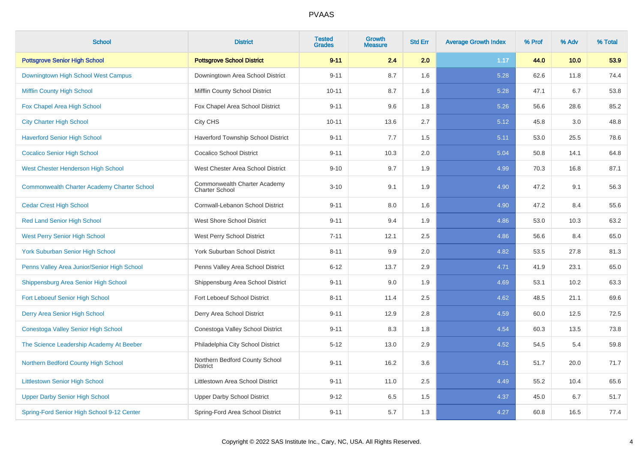| <b>School</b>                                      | <b>District</b>                                       | <b>Tested</b><br><b>Grades</b> | Growth<br><b>Measure</b> | <b>Std Err</b> | <b>Average Growth Index</b> | % Prof | % Adv | % Total |
|----------------------------------------------------|-------------------------------------------------------|--------------------------------|--------------------------|----------------|-----------------------------|--------|-------|---------|
| <b>Pottsgrove Senior High School</b>               | <b>Pottsgrove School District</b>                     | $9 - 11$                       | 2.4                      | 2.0            | 1.17                        | 44.0   | 10.0  | 53.9    |
| Downingtown High School West Campus                | Downingtown Area School District                      | $9 - 11$                       | 8.7                      | 1.6            | 5.28                        | 62.6   | 11.8  | 74.4    |
| <b>Mifflin County High School</b>                  | Mifflin County School District                        | $10 - 11$                      | 8.7                      | 1.6            | 5.28                        | 47.1   | 6.7   | 53.8    |
| Fox Chapel Area High School                        | Fox Chapel Area School District                       | $9 - 11$                       | 9.6                      | 1.8            | 5.26                        | 56.6   | 28.6  | 85.2    |
| <b>City Charter High School</b>                    | City CHS                                              | $10 - 11$                      | 13.6                     | 2.7            | 5.12                        | 45.8   | 3.0   | 48.8    |
| <b>Haverford Senior High School</b>                | Haverford Township School District                    | $9 - 11$                       | 7.7                      | 1.5            | 5.11                        | 53.0   | 25.5  | 78.6    |
| <b>Cocalico Senior High School</b>                 | <b>Cocalico School District</b>                       | $9 - 11$                       | 10.3                     | 2.0            | 5.04                        | 50.8   | 14.1  | 64.8    |
| West Chester Henderson High School                 | West Chester Area School District                     | $9 - 10$                       | 9.7                      | 1.9            | 4.99                        | 70.3   | 16.8  | 87.1    |
| <b>Commonwealth Charter Academy Charter School</b> | Commonwealth Charter Academy<br><b>Charter School</b> | $3 - 10$                       | 9.1                      | 1.9            | 4.90                        | 47.2   | 9.1   | 56.3    |
| <b>Cedar Crest High School</b>                     | Cornwall-Lebanon School District                      | $9 - 11$                       | 8.0                      | 1.6            | 4.90                        | 47.2   | 8.4   | 55.6    |
| <b>Red Land Senior High School</b>                 | <b>West Shore School District</b>                     | $9 - 11$                       | 9.4                      | 1.9            | 4.86                        | 53.0   | 10.3  | 63.2    |
| <b>West Perry Senior High School</b>               | West Perry School District                            | $7 - 11$                       | 12.1                     | 2.5            | 4.86                        | 56.6   | 8.4   | 65.0    |
| <b>York Suburban Senior High School</b>            | York Suburban School District                         | $8 - 11$                       | 9.9                      | 2.0            | 4.82                        | 53.5   | 27.8  | 81.3    |
| Penns Valley Area Junior/Senior High School        | Penns Valley Area School District                     | $6 - 12$                       | 13.7                     | 2.9            | 4.71                        | 41.9   | 23.1  | 65.0    |
| Shippensburg Area Senior High School               | Shippensburg Area School District                     | $9 - 11$                       | 9.0                      | 1.9            | 4.69                        | 53.1   | 10.2  | 63.3    |
| Fort Leboeuf Senior High School                    | Fort Leboeuf School District                          | $8 - 11$                       | 11.4                     | 2.5            | 4.62                        | 48.5   | 21.1  | 69.6    |
| Derry Area Senior High School                      | Derry Area School District                            | $9 - 11$                       | 12.9                     | 2.8            | 4.59                        | 60.0   | 12.5  | 72.5    |
| Conestoga Valley Senior High School                | Conestoga Valley School District                      | $9 - 11$                       | 8.3                      | 1.8            | 4.54                        | 60.3   | 13.5  | 73.8    |
| The Science Leadership Academy At Beeber           | Philadelphia City School District                     | $5 - 12$                       | 13.0                     | 2.9            | 4.52                        | 54.5   | 5.4   | 59.8    |
| Northern Bedford County High School                | Northern Bedford County School<br><b>District</b>     | $9 - 11$                       | 16.2                     | 3.6            | 4.51                        | 51.7   | 20.0  | 71.7    |
| <b>Littlestown Senior High School</b>              | Littlestown Area School District                      | $9 - 11$                       | 11.0                     | 2.5            | 4.49                        | 55.2   | 10.4  | 65.6    |
| <b>Upper Darby Senior High School</b>              | <b>Upper Darby School District</b>                    | $9 - 12$                       | 6.5                      | 1.5            | 4.37                        | 45.0   | 6.7   | 51.7    |
| Spring-Ford Senior High School 9-12 Center         | Spring-Ford Area School District                      | $9 - 11$                       | 5.7                      | 1.3            | 4.27                        | 60.8   | 16.5  | 77.4    |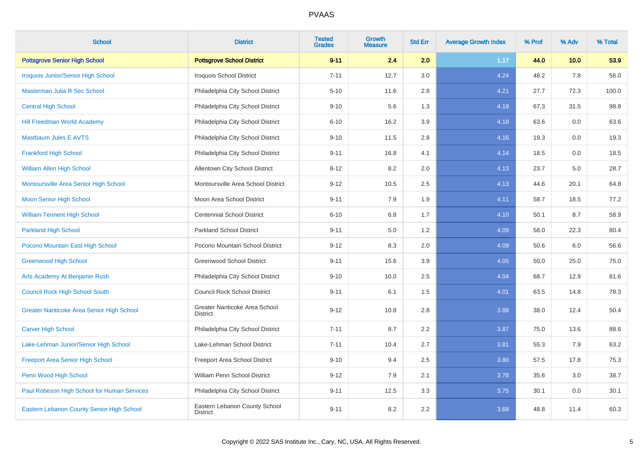| <b>School</b>                                    | <b>District</b>                                  | <b>Tested</b><br><b>Grades</b> | Growth<br><b>Measure</b> | <b>Std Err</b> | <b>Average Growth Index</b> | % Prof | % Adv | % Total |
|--------------------------------------------------|--------------------------------------------------|--------------------------------|--------------------------|----------------|-----------------------------|--------|-------|---------|
| <b>Pottsgrove Senior High School</b>             | <b>Pottsgrove School District</b>                | $9 - 11$                       | 2.4                      | 2.0            | 1.17                        | 44.0   | 10.0  | 53.9    |
| <b>Iroquois Junior/Senior High School</b>        | Iroquois School District                         | $7 - 11$                       | 12.7                     | 3.0            | 4.24                        | 48.2   | 7.8   | 56.0    |
| Masterman Julia R Sec School                     | Philadelphia City School District                | $5 - 10$                       | 11.6                     | 2.8            | 4.21                        | 27.7   | 72.3  | 100.0   |
| <b>Central High School</b>                       | Philadelphia City School District                | $9 - 10$                       | 5.6                      | 1.3            | 4.19                        | 67.3   | 31.5  | 98.8    |
| <b>Hill Freedman World Academy</b>               | Philadelphia City School District                | $6 - 10$                       | 16.2                     | 3.9            | 4.18                        | 63.6   | 0.0   | 63.6    |
| <b>Mastbaum Jules E AVTS</b>                     | Philadelphia City School District                | $9 - 10$                       | 11.5                     | 2.8            | 4.16                        | 19.3   | 0.0   | 19.3    |
| <b>Frankford High School</b>                     | Philadelphia City School District                | $9 - 11$                       | 16.8                     | 4.1            | 4.14                        | 18.5   | 0.0   | 18.5    |
| <b>William Allen High School</b>                 | Allentown City School District                   | $8 - 12$                       | 8.2                      | 2.0            | 4.13                        | 23.7   | 5.0   | 28.7    |
| Montoursville Area Senior High School            | Montoursville Area School District               | $9 - 12$                       | 10.5                     | 2.5            | 4.13                        | 44.6   | 20.1  | 64.8    |
| <b>Moon Senior High School</b>                   | Moon Area School District                        | $9 - 11$                       | 7.9                      | 1.9            | 4.11                        | 58.7   | 18.5  | 77.2    |
| <b>William Tennent High School</b>               | <b>Centennial School District</b>                | $6 - 10$                       | 6.8                      | 1.7            | 4.10                        | 50.1   | 8.7   | 58.9    |
| <b>Parkland High School</b>                      | <b>Parkland School District</b>                  | $9 - 11$                       | 5.0                      | 1.2            | 4.09                        | 58.0   | 22.3  | 80.4    |
| Pocono Mountain East High School                 | Pocono Mountain School District                  | $9 - 12$                       | 8.3                      | 2.0            | 4.09                        | 50.6   | 6.0   | 56.6    |
| <b>Greenwood High School</b>                     | <b>Greenwood School District</b>                 | $9 - 11$                       | 15.6                     | 3.9            | 4.05                        | 50.0   | 25.0  | 75.0    |
| Arts Academy At Benjamin Rush                    | Philadelphia City School District                | $9 - 10$                       | 10.0                     | 2.5            | 4.04                        | 68.7   | 12.9  | 81.6    |
| <b>Council Rock High School South</b>            | <b>Council Rock School District</b>              | $9 - 11$                       | 6.1                      | 1.5            | 4.01                        | 63.5   | 14.8  | 78.3    |
| <b>Greater Nanticoke Area Senior High School</b> | Greater Nanticoke Area School<br><b>District</b> | $9 - 12$                       | 10.8                     | 2.8            | 3.88                        | 38.0   | 12.4  | 50.4    |
| <b>Carver High School</b>                        | Philadelphia City School District                | $7 - 11$                       | 8.7                      | 2.2            | 3.87                        | 75.0   | 13.6  | 88.6    |
| Lake-Lehman Junior/Senior High School            | Lake-Lehman School District                      | $7 - 11$                       | 10.4                     | 2.7            | 3.81                        | 55.3   | 7.9   | 63.2    |
| <b>Freeport Area Senior High School</b>          | Freeport Area School District                    | $9 - 10$                       | 9.4                      | 2.5            | 3.80                        | 57.5   | 17.8  | 75.3    |
| Penn Wood High School                            | William Penn School District                     | $9 - 12$                       | 7.9                      | 2.1            | 3.78                        | 35.6   | 3.0   | 38.7    |
| Paul Robeson High School for Human Services      | Philadelphia City School District                | $9 - 11$                       | 12.5                     | 3.3            | 3.75                        | 30.1   | 0.0   | 30.1    |
| Eastern Lebanon County Senior High School        | Eastern Lebanon County School<br><b>District</b> | $9 - 11$                       | 8.2                      | 2.2            | 3.68                        | 48.8   | 11.4  | 60.3    |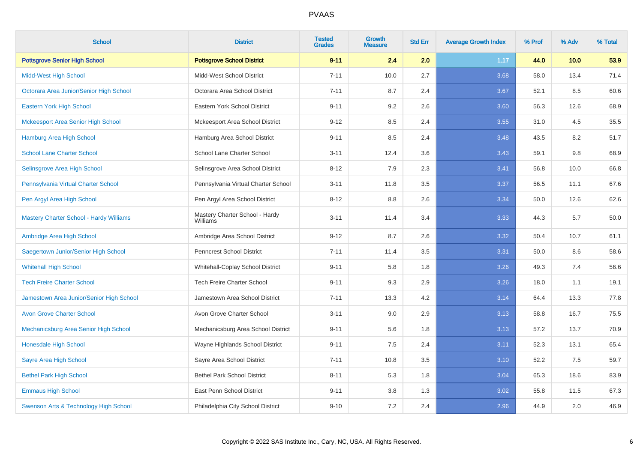| <b>School</b>                                  | <b>District</b>                            | <b>Tested</b><br><b>Grades</b> | Growth<br><b>Measure</b> | <b>Std Err</b> | <b>Average Growth Index</b> | % Prof | % Adv | % Total |
|------------------------------------------------|--------------------------------------------|--------------------------------|--------------------------|----------------|-----------------------------|--------|-------|---------|
| <b>Pottsgrove Senior High School</b>           | <b>Pottsgrove School District</b>          | $9 - 11$                       | 2.4                      | 2.0            | 1.17                        | 44.0   | 10.0  | 53.9    |
| <b>Midd-West High School</b>                   | Midd-West School District                  | $7 - 11$                       | 10.0                     | 2.7            | 3.68                        | 58.0   | 13.4  | 71.4    |
| Octorara Area Junior/Senior High School        | Octorara Area School District              | $7 - 11$                       | 8.7                      | 2.4            | 3.67                        | 52.1   | 8.5   | 60.6    |
| Eastern York High School                       | Eastern York School District               | $9 - 11$                       | 9.2                      | 2.6            | 3.60                        | 56.3   | 12.6  | 68.9    |
| <b>Mckeesport Area Senior High School</b>      | Mckeesport Area School District            | $9 - 12$                       | 8.5                      | 2.4            | 3.55                        | 31.0   | 4.5   | 35.5    |
| <b>Hamburg Area High School</b>                | Hamburg Area School District               | $9 - 11$                       | 8.5                      | 2.4            | 3.48                        | 43.5   | 8.2   | 51.7    |
| <b>School Lane Charter School</b>              | School Lane Charter School                 | $3 - 11$                       | 12.4                     | 3.6            | 3.43                        | 59.1   | 9.8   | 68.9    |
| Selinsgrove Area High School                   | Selinsgrove Area School District           | $8 - 12$                       | 7.9                      | 2.3            | 3.41                        | 56.8   | 10.0  | 66.8    |
| Pennsylvania Virtual Charter School            | Pennsylvania Virtual Charter School        | $3 - 11$                       | 11.8                     | 3.5            | 3.37                        | 56.5   | 11.1  | 67.6    |
| Pen Argyl Area High School                     | Pen Argyl Area School District             | $8 - 12$                       | 8.8                      | 2.6            | 3.34                        | 50.0   | 12.6  | 62.6    |
| <b>Mastery Charter School - Hardy Williams</b> | Mastery Charter School - Hardy<br>Williams | $3 - 11$                       | 11.4                     | 3.4            | 3.33                        | 44.3   | 5.7   | 50.0    |
| Ambridge Area High School                      | Ambridge Area School District              | $9 - 12$                       | 8.7                      | 2.6            | 3.32                        | 50.4   | 10.7  | 61.1    |
| Saegertown Junior/Senior High School           | <b>Penncrest School District</b>           | $7 - 11$                       | 11.4                     | 3.5            | 3.31                        | 50.0   | 8.6   | 58.6    |
| <b>Whitehall High School</b>                   | Whitehall-Coplay School District           | $9 - 11$                       | 5.8                      | 1.8            | 3.26                        | 49.3   | 7.4   | 56.6    |
| <b>Tech Freire Charter School</b>              | <b>Tech Freire Charter School</b>          | $9 - 11$                       | 9.3                      | 2.9            | 3.26                        | 18.0   | 1.1   | 19.1    |
| Jamestown Area Junior/Senior High School       | Jamestown Area School District             | $7 - 11$                       | 13.3                     | 4.2            | 3.14                        | 64.4   | 13.3  | 77.8    |
| <b>Avon Grove Charter School</b>               | Avon Grove Charter School                  | $3 - 11$                       | 9.0                      | 2.9            | 3.13                        | 58.8   | 16.7  | 75.5    |
| Mechanicsburg Area Senior High School          | Mechanicsburg Area School District         | $9 - 11$                       | 5.6                      | 1.8            | 3.13                        | 57.2   | 13.7  | 70.9    |
| Honesdale High School                          | Wayne Highlands School District            | $9 - 11$                       | $7.5\,$                  | 2.4            | 3.11                        | 52.3   | 13.1  | 65.4    |
| Sayre Area High School                         | Sayre Area School District                 | $7 - 11$                       | 10.8                     | 3.5            | 3.10                        | 52.2   | 7.5   | 59.7    |
| <b>Bethel Park High School</b>                 | <b>Bethel Park School District</b>         | $8 - 11$                       | 5.3                      | 1.8            | 3.04                        | 65.3   | 18.6  | 83.9    |
| <b>Emmaus High School</b>                      | East Penn School District                  | $9 - 11$                       | 3.8                      | 1.3            | 3.02                        | 55.8   | 11.5  | 67.3    |
| Swenson Arts & Technology High School          | Philadelphia City School District          | $9 - 10$                       | 7.2                      | 2.4            | 2.96                        | 44.9   | 2.0   | 46.9    |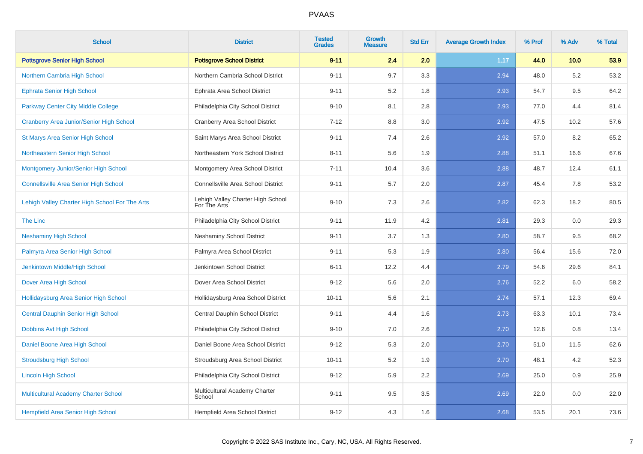| <b>School</b>                                   | <b>District</b>                                   | <b>Tested</b><br><b>Grades</b> | <b>Growth</b><br><b>Measure</b> | <b>Std Err</b> | <b>Average Growth Index</b> | % Prof | % Adv | % Total |
|-------------------------------------------------|---------------------------------------------------|--------------------------------|---------------------------------|----------------|-----------------------------|--------|-------|---------|
| <b>Pottsgrove Senior High School</b>            | <b>Pottsgrove School District</b>                 | $9 - 11$                       | 2.4                             | 2.0            | 1.17                        | 44.0   | 10.0  | 53.9    |
| Northern Cambria High School                    | Northern Cambria School District                  | $9 - 11$                       | 9.7                             | 3.3            | 2.94                        | 48.0   | 5.2   | 53.2    |
| <b>Ephrata Senior High School</b>               | Ephrata Area School District                      | $9 - 11$                       | 5.2                             | 1.8            | 2.93                        | 54.7   | 9.5   | 64.2    |
| Parkway Center City Middle College              | Philadelphia City School District                 | $9 - 10$                       | 8.1                             | 2.8            | 2.93                        | 77.0   | 4.4   | 81.4    |
| <b>Cranberry Area Junior/Senior High School</b> | <b>Cranberry Area School District</b>             | $7 - 12$                       | 8.8                             | 3.0            | 2.92                        | 47.5   | 10.2  | 57.6    |
| <b>St Marys Area Senior High School</b>         | Saint Marys Area School District                  | $9 - 11$                       | 7.4                             | 2.6            | 2.92                        | 57.0   | 8.2   | 65.2    |
| Northeastern Senior High School                 | Northeastern York School District                 | $8 - 11$                       | 5.6                             | 1.9            | 2.88                        | 51.1   | 16.6  | 67.6    |
| Montgomery Junior/Senior High School            | Montgomery Area School District                   | $7 - 11$                       | 10.4                            | 3.6            | 2.88                        | 48.7   | 12.4  | 61.1    |
| <b>Connellsville Area Senior High School</b>    | Connellsville Area School District                | $9 - 11$                       | 5.7                             | 2.0            | 2.87                        | 45.4   | 7.8   | 53.2    |
| Lehigh Valley Charter High School For The Arts  | Lehigh Valley Charter High School<br>For The Arts | $9 - 10$                       | 7.3                             | 2.6            | 2.82                        | 62.3   | 18.2  | 80.5    |
| <b>The Linc</b>                                 | Philadelphia City School District                 | $9 - 11$                       | 11.9                            | 4.2            | 2.81                        | 29.3   | 0.0   | 29.3    |
| <b>Neshaminy High School</b>                    | <b>Neshaminy School District</b>                  | $9 - 11$                       | 3.7                             | 1.3            | 2.80                        | 58.7   | 9.5   | 68.2    |
| Palmyra Area Senior High School                 | Palmyra Area School District                      | $9 - 11$                       | 5.3                             | 1.9            | 2.80                        | 56.4   | 15.6  | 72.0    |
| Jenkintown Middle/High School                   | Jenkintown School District                        | $6 - 11$                       | 12.2                            | 4.4            | 2.79                        | 54.6   | 29.6  | 84.1    |
| Dover Area High School                          | Dover Area School District                        | $9 - 12$                       | 5.6                             | 2.0            | 2.76                        | 52.2   | 6.0   | 58.2    |
| Hollidaysburg Area Senior High School           | Hollidaysburg Area School District                | $10 - 11$                      | 5.6                             | 2.1            | 2.74                        | 57.1   | 12.3  | 69.4    |
| <b>Central Dauphin Senior High School</b>       | Central Dauphin School District                   | $9 - 11$                       | 4.4                             | 1.6            | 2.73                        | 63.3   | 10.1  | 73.4    |
| Dobbins Avt High School                         | Philadelphia City School District                 | $9 - 10$                       | 7.0                             | 2.6            | 2.70                        | 12.6   | 0.8   | 13.4    |
| Daniel Boone Area High School                   | Daniel Boone Area School District                 | $9 - 12$                       | 5.3                             | $2.0\,$        | 2.70                        | 51.0   | 11.5  | 62.6    |
| <b>Stroudsburg High School</b>                  | Stroudsburg Area School District                  | $10 - 11$                      | 5.2                             | 1.9            | 2.70                        | 48.1   | 4.2   | 52.3    |
| <b>Lincoln High School</b>                      | Philadelphia City School District                 | $9 - 12$                       | 5.9                             | 2.2            | 2.69                        | 25.0   | 0.9   | 25.9    |
| Multicultural Academy Charter School            | Multicultural Academy Charter<br>School           | $9 - 11$                       | 9.5                             | 3.5            | 2.69                        | 22.0   | 0.0   | 22.0    |
| Hempfield Area Senior High School               | Hempfield Area School District                    | $9 - 12$                       | 4.3                             | 1.6            | 2.68                        | 53.5   | 20.1  | 73.6    |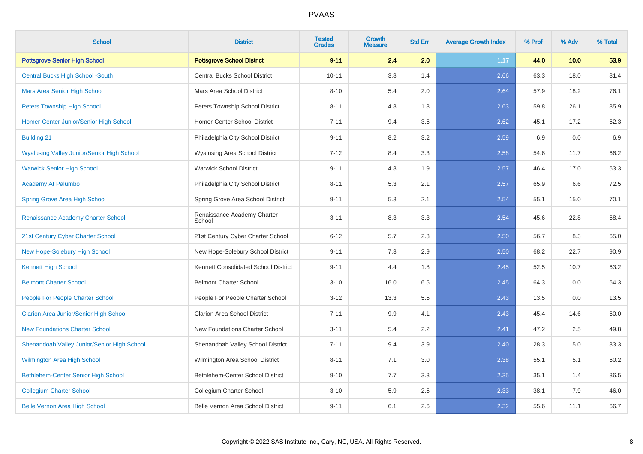| <b>School</b>                                     | <b>District</b>                        | <b>Tested</b><br><b>Grades</b> | Growth<br><b>Measure</b> | <b>Std Err</b> | <b>Average Growth Index</b> | % Prof | % Adv | % Total |
|---------------------------------------------------|----------------------------------------|--------------------------------|--------------------------|----------------|-----------------------------|--------|-------|---------|
| <b>Pottsgrove Senior High School</b>              | <b>Pottsgrove School District</b>      | $9 - 11$                       | 2.4                      | 2.0            | 1.17                        | 44.0   | 10.0  | 53.9    |
| <b>Central Bucks High School -South</b>           | Central Bucks School District          | $10 - 11$                      | 3.8                      | 1.4            | 2.66                        | 63.3   | 18.0  | 81.4    |
| <b>Mars Area Senior High School</b>               | Mars Area School District              | $8 - 10$                       | 5.4                      | 2.0            | 2.64                        | 57.9   | 18.2  | 76.1    |
| <b>Peters Township High School</b>                | <b>Peters Township School District</b> | $8 - 11$                       | 4.8                      | 1.8            | 2.63                        | 59.8   | 26.1  | 85.9    |
| Homer-Center Junior/Senior High School            | Homer-Center School District           | $7 - 11$                       | 9.4                      | 3.6            | 2.62                        | 45.1   | 17.2  | 62.3    |
| <b>Building 21</b>                                | Philadelphia City School District      | $9 - 11$                       | 8.2                      | 3.2            | 2.59                        | 6.9    | 0.0   | 6.9     |
| <b>Wyalusing Valley Junior/Senior High School</b> | <b>Wyalusing Area School District</b>  | $7 - 12$                       | 8.4                      | 3.3            | 2.58                        | 54.6   | 11.7  | 66.2    |
| <b>Warwick Senior High School</b>                 | <b>Warwick School District</b>         | $9 - 11$                       | 4.8                      | 1.9            | 2.57                        | 46.4   | 17.0  | 63.3    |
| <b>Academy At Palumbo</b>                         | Philadelphia City School District      | $8 - 11$                       | 5.3                      | 2.1            | 2.57                        | 65.9   | 6.6   | 72.5    |
| <b>Spring Grove Area High School</b>              | Spring Grove Area School District      | $9 - 11$                       | 5.3                      | 2.1            | 2.54                        | 55.1   | 15.0  | 70.1    |
| Renaissance Academy Charter School                | Renaissance Academy Charter<br>School  | $3 - 11$                       | 8.3                      | 3.3            | 2.54                        | 45.6   | 22.8  | 68.4    |
| 21st Century Cyber Charter School                 | 21st Century Cyber Charter School      | $6 - 12$                       | 5.7                      | 2.3            | 2.50                        | 56.7   | 8.3   | 65.0    |
| New Hope-Solebury High School                     | New Hope-Solebury School District      | $9 - 11$                       | 7.3                      | 2.9            | 2.50                        | 68.2   | 22.7  | 90.9    |
| <b>Kennett High School</b>                        | Kennett Consolidated School District   | $9 - 11$                       | 4.4                      | 1.8            | 2.45                        | 52.5   | 10.7  | 63.2    |
| <b>Belmont Charter School</b>                     | <b>Belmont Charter School</b>          | $3 - 10$                       | 16.0                     | 6.5            | 2.45                        | 64.3   | 0.0   | 64.3    |
| <b>People For People Charter School</b>           | People For People Charter School       | $3 - 12$                       | 13.3                     | 5.5            | 2.43                        | 13.5   | 0.0   | 13.5    |
| <b>Clarion Area Junior/Senior High School</b>     | Clarion Area School District           | $7 - 11$                       | 9.9                      | 4.1            | 2.43                        | 45.4   | 14.6  | 60.0    |
| <b>New Foundations Charter School</b>             | New Foundations Charter School         | $3 - 11$                       | 5.4                      | 2.2            | 2.41                        | 47.2   | 2.5   | 49.8    |
| Shenandoah Valley Junior/Senior High School       | Shenandoah Valley School District      | $7 - 11$                       | 9.4                      | 3.9            | 2.40                        | 28.3   | 5.0   | 33.3    |
| <b>Wilmington Area High School</b>                | Wilmington Area School District        | $8 - 11$                       | 7.1                      | 3.0            | 2.38                        | 55.1   | 5.1   | 60.2    |
| Bethlehem-Center Senior High School               | Bethlehem-Center School District       | $9 - 10$                       | 7.7                      | 3.3            | 2.35                        | 35.1   | 1.4   | 36.5    |
| <b>Collegium Charter School</b>                   | Collegium Charter School               | $3 - 10$                       | 5.9                      | 2.5            | 2.33                        | 38.1   | 7.9   | 46.0    |
| <b>Belle Vernon Area High School</b>              | Belle Vernon Area School District      | $9 - 11$                       | 6.1                      | 2.6            | 2.32                        | 55.6   | 11.1  | 66.7    |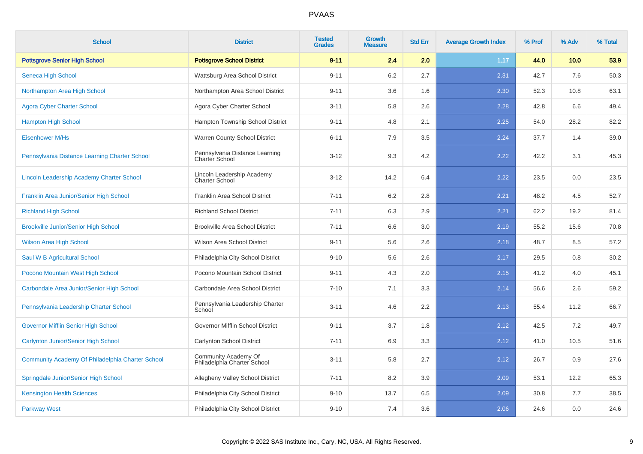| <b>School</b>                                    | <b>District</b>                                         | <b>Tested</b><br><b>Grades</b> | <b>Growth</b><br><b>Measure</b> | <b>Std Err</b> | <b>Average Growth Index</b> | % Prof | % Adv | % Total |
|--------------------------------------------------|---------------------------------------------------------|--------------------------------|---------------------------------|----------------|-----------------------------|--------|-------|---------|
| <b>Pottsgrove Senior High School</b>             | <b>Pottsgrove School District</b>                       | $9 - 11$                       | 2.4                             | 2.0            | 1.17                        | 44.0   | 10.0  | 53.9    |
| Seneca High School                               | Wattsburg Area School District                          | $9 - 11$                       | 6.2                             | 2.7            | 2.31                        | 42.7   | 7.6   | 50.3    |
| Northampton Area High School                     | Northampton Area School District                        | $9 - 11$                       | 3.6                             | 1.6            | 2.30                        | 52.3   | 10.8  | 63.1    |
| <b>Agora Cyber Charter School</b>                | Agora Cyber Charter School                              | $3 - 11$                       | 5.8                             | 2.6            | 2.28                        | 42.8   | 6.6   | 49.4    |
| <b>Hampton High School</b>                       | Hampton Township School District                        | $9 - 11$                       | 4.8                             | 2.1            | 2.25                        | 54.0   | 28.2  | 82.2    |
| <b>Eisenhower M/Hs</b>                           | Warren County School District                           | $6 - 11$                       | 7.9                             | 3.5            | 2.24                        | 37.7   | 1.4   | 39.0    |
| Pennsylvania Distance Learning Charter School    | Pennsylvania Distance Learning<br><b>Charter School</b> | $3 - 12$                       | 9.3                             | 4.2            | 2.22                        | 42.2   | 3.1   | 45.3    |
| Lincoln Leadership Academy Charter School        | Lincoln Leadership Academy<br><b>Charter School</b>     | $3 - 12$                       | 14.2                            | 6.4            | 2.22                        | 23.5   | 0.0   | 23.5    |
| Franklin Area Junior/Senior High School          | Franklin Area School District                           | $7 - 11$                       | 6.2                             | 2.8            | 2.21                        | 48.2   | 4.5   | 52.7    |
| <b>Richland High School</b>                      | <b>Richland School District</b>                         | $7 - 11$                       | 6.3                             | 2.9            | 2.21                        | 62.2   | 19.2  | 81.4    |
| <b>Brookville Junior/Senior High School</b>      | <b>Brookville Area School District</b>                  | $7 - 11$                       | 6.6                             | 3.0            | 2.19                        | 55.2   | 15.6  | 70.8    |
| <b>Wilson Area High School</b>                   | Wilson Area School District                             | $9 - 11$                       | 5.6                             | 2.6            | 2.18                        | 48.7   | 8.5   | 57.2    |
| Saul W B Agricultural School                     | Philadelphia City School District                       | $9 - 10$                       | 5.6                             | 2.6            | 2.17                        | 29.5   | 0.8   | 30.2    |
| Pocono Mountain West High School                 | Pocono Mountain School District                         | $9 - 11$                       | 4.3                             | 2.0            | 2.15                        | 41.2   | 4.0   | 45.1    |
| Carbondale Area Junior/Senior High School        | Carbondale Area School District                         | $7 - 10$                       | 7.1                             | 3.3            | 2.14                        | 56.6   | 2.6   | 59.2    |
| Pennsylvania Leadership Charter School           | Pennsylvania Leadership Charter<br>School               | $3 - 11$                       | 4.6                             | 2.2            | 2.13                        | 55.4   | 11.2  | 66.7    |
| <b>Governor Mifflin Senior High School</b>       | Governor Mifflin School District                        | $9 - 11$                       | 3.7                             | 1.8            | 2.12                        | 42.5   | 7.2   | 49.7    |
| <b>Carlynton Junior/Senior High School</b>       | Carlynton School District                               | $7 - 11$                       | 6.9                             | 3.3            | 2.12                        | 41.0   | 10.5  | 51.6    |
| Community Academy Of Philadelphia Charter School | Community Academy Of<br>Philadelphia Charter School     | $3 - 11$                       | 5.8                             | 2.7            | 2.12                        | 26.7   | 0.9   | 27.6    |
| Springdale Junior/Senior High School             | Allegheny Valley School District                        | $7 - 11$                       | 8.2                             | 3.9            | 2.09                        | 53.1   | 12.2  | 65.3    |
| <b>Kensington Health Sciences</b>                | Philadelphia City School District                       | $9 - 10$                       | 13.7                            | 6.5            | 2.09                        | 30.8   | 7.7   | 38.5    |
| <b>Parkway West</b>                              | Philadelphia City School District                       | $9 - 10$                       | 7.4                             | 3.6            | 2.06                        | 24.6   | 0.0   | 24.6    |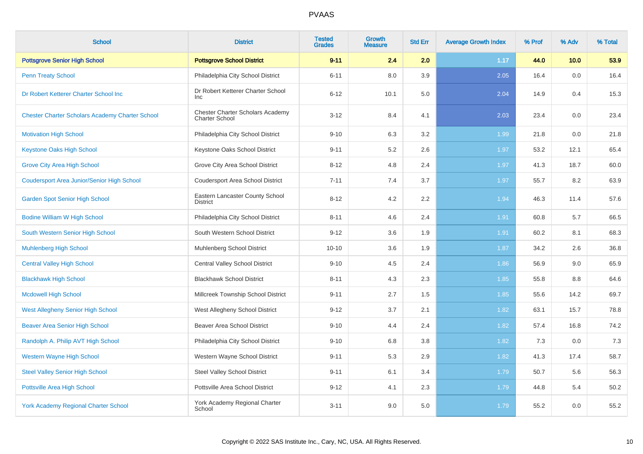| <b>School</b>                                          | <b>District</b>                                           | <b>Tested</b><br><b>Grades</b> | <b>Growth</b><br><b>Measure</b> | <b>Std Err</b> | <b>Average Growth Index</b> | % Prof | % Adv | % Total |
|--------------------------------------------------------|-----------------------------------------------------------|--------------------------------|---------------------------------|----------------|-----------------------------|--------|-------|---------|
| <b>Pottsgrove Senior High School</b>                   | <b>Pottsgrove School District</b>                         | $9 - 11$                       | 2.4                             | 2.0            | 1.17                        | 44.0   | 10.0  | 53.9    |
| <b>Penn Treaty School</b>                              | Philadelphia City School District                         | $6 - 11$                       | 8.0                             | 3.9            | 2.05                        | 16.4   | 0.0   | 16.4    |
| Dr Robert Ketterer Charter School Inc                  | Dr Robert Ketterer Charter School<br><b>Inc</b>           | $6 - 12$                       | 10.1                            | 5.0            | 2.04                        | 14.9   | 0.4   | 15.3    |
| <b>Chester Charter Scholars Academy Charter School</b> | Chester Charter Scholars Academy<br><b>Charter School</b> | $3 - 12$                       | 8.4                             | 4.1            | 2.03                        | 23.4   | 0.0   | 23.4    |
| <b>Motivation High School</b>                          | Philadelphia City School District                         | $9 - 10$                       | 6.3                             | 3.2            | 1.99                        | 21.8   | 0.0   | 21.8    |
| <b>Keystone Oaks High School</b>                       | Keystone Oaks School District                             | $9 - 11$                       | 5.2                             | 2.6            | 1.97                        | 53.2   | 12.1  | 65.4    |
| <b>Grove City Area High School</b>                     | Grove City Area School District                           | $8 - 12$                       | 4.8                             | 2.4            | 1.97                        | 41.3   | 18.7  | 60.0    |
| <b>Coudersport Area Junior/Senior High School</b>      | <b>Coudersport Area School District</b>                   | $7 - 11$                       | 7.4                             | 3.7            | 1.97                        | 55.7   | 8.2   | 63.9    |
| <b>Garden Spot Senior High School</b>                  | Eastern Lancaster County School<br><b>District</b>        | $8 - 12$                       | 4.2                             | 2.2            | 1.94                        | 46.3   | 11.4  | 57.6    |
| <b>Bodine William W High School</b>                    | Philadelphia City School District                         | $8 - 11$                       | 4.6                             | 2.4            | 1.91                        | 60.8   | 5.7   | 66.5    |
| South Western Senior High School                       | South Western School District                             | $9 - 12$                       | 3.6                             | 1.9            | 1.91                        | 60.2   | 8.1   | 68.3    |
| <b>Muhlenberg High School</b>                          | Muhlenberg School District                                | $10 - 10$                      | 3.6                             | 1.9            | 1.87                        | 34.2   | 2.6   | 36.8    |
| <b>Central Valley High School</b>                      | <b>Central Valley School District</b>                     | $9 - 10$                       | 4.5                             | 2.4            | 1.86                        | 56.9   | 9.0   | 65.9    |
| <b>Blackhawk High School</b>                           | <b>Blackhawk School District</b>                          | $8 - 11$                       | 4.3                             | 2.3            | 1.85                        | 55.8   | 8.8   | 64.6    |
| <b>Mcdowell High School</b>                            | Millcreek Township School District                        | $9 - 11$                       | 2.7                             | 1.5            | 1.85                        | 55.6   | 14.2  | 69.7    |
| <b>West Allegheny Senior High School</b>               | West Allegheny School District                            | $9 - 12$                       | 3.7                             | 2.1            | 1.82                        | 63.1   | 15.7  | 78.8    |
| <b>Beaver Area Senior High School</b>                  | <b>Beaver Area School District</b>                        | $9 - 10$                       | 4.4                             | 2.4            | 1.82                        | 57.4   | 16.8  | 74.2    |
| Randolph A. Philip AVT High School                     | Philadelphia City School District                         | $9 - 10$                       | 6.8                             | 3.8            | 1.82                        | 7.3    | 0.0   | 7.3     |
| <b>Western Wayne High School</b>                       | Western Wayne School District                             | $9 - 11$                       | 5.3                             | 2.9            | 1.82                        | 41.3   | 17.4  | 58.7    |
| <b>Steel Valley Senior High School</b>                 | <b>Steel Valley School District</b>                       | $9 - 11$                       | 6.1                             | 3.4            | 1.79                        | 50.7   | 5.6   | 56.3    |
| Pottsville Area High School                            | Pottsville Area School District                           | $9 - 12$                       | 4.1                             | 2.3            | 1.79                        | 44.8   | 5.4   | 50.2    |
| <b>York Academy Regional Charter School</b>            | York Academy Regional Charter<br>School                   | $3 - 11$                       | 9.0                             | 5.0            | 1.79                        | 55.2   | 0.0   | 55.2    |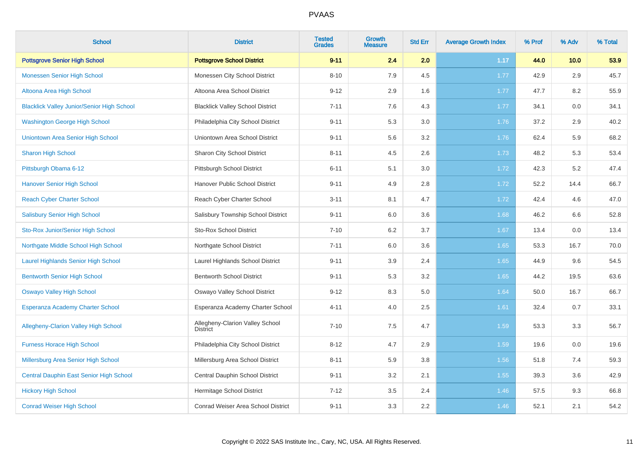| <b>School</b>                                     | <b>District</b>                                    | <b>Tested</b><br><b>Grades</b> | <b>Growth</b><br><b>Measure</b> | <b>Std Err</b> | <b>Average Growth Index</b> | % Prof | % Adv | % Total |
|---------------------------------------------------|----------------------------------------------------|--------------------------------|---------------------------------|----------------|-----------------------------|--------|-------|---------|
| <b>Pottsgrove Senior High School</b>              | <b>Pottsgrove School District</b>                  | $9 - 11$                       | 2.4                             | 2.0            | 1.17                        | 44.0   | 10.0  | 53.9    |
| <b>Monessen Senior High School</b>                | Monessen City School District                      | $8 - 10$                       | 7.9                             | 4.5            | 1.77                        | 42.9   | 2.9   | 45.7    |
| Altoona Area High School                          | Altoona Area School District                       | $9 - 12$                       | 2.9                             | 1.6            | 1.77                        | 47.7   | 8.2   | 55.9    |
| <b>Blacklick Valley Junior/Senior High School</b> | <b>Blacklick Valley School District</b>            | $7 - 11$                       | 7.6                             | 4.3            | 1.77                        | 34.1   | 0.0   | 34.1    |
| <b>Washington George High School</b>              | Philadelphia City School District                  | $9 - 11$                       | 5.3                             | 3.0            | 1.76                        | 37.2   | 2.9   | 40.2    |
| Uniontown Area Senior High School                 | Uniontown Area School District                     | $9 - 11$                       | 5.6                             | 3.2            | 1.76                        | 62.4   | 5.9   | 68.2    |
| <b>Sharon High School</b>                         | Sharon City School District                        | $8 - 11$                       | 4.5                             | 2.6            | 1.73                        | 48.2   | 5.3   | 53.4    |
| Pittsburgh Obama 6-12                             | Pittsburgh School District                         | $6 - 11$                       | 5.1                             | 3.0            | 1.72                        | 42.3   | 5.2   | 47.4    |
| <b>Hanover Senior High School</b>                 | Hanover Public School District                     | $9 - 11$                       | 4.9                             | 2.8            | 1.72                        | 52.2   | 14.4  | 66.7    |
| <b>Reach Cyber Charter School</b>                 | Reach Cyber Charter School                         | $3 - 11$                       | 8.1                             | 4.7            | 1.72                        | 42.4   | 4.6   | 47.0    |
| <b>Salisbury Senior High School</b>               | Salisbury Township School District                 | $9 - 11$                       | 6.0                             | 3.6            | 1.68                        | 46.2   | 6.6   | 52.8    |
| Sto-Rox Junior/Senior High School                 | <b>Sto-Rox School District</b>                     | $7 - 10$                       | 6.2                             | 3.7            | 1.67                        | 13.4   | 0.0   | 13.4    |
| Northgate Middle School High School               | Northgate School District                          | $7 - 11$                       | 6.0                             | 3.6            | 1.65                        | 53.3   | 16.7  | 70.0    |
| <b>Laurel Highlands Senior High School</b>        | Laurel Highlands School District                   | $9 - 11$                       | 3.9                             | 2.4            | 1.65                        | 44.9   | 9.6   | 54.5    |
| <b>Bentworth Senior High School</b>               | <b>Bentworth School District</b>                   | $9 - 11$                       | 5.3                             | 3.2            | 1.65                        | 44.2   | 19.5  | 63.6    |
| <b>Oswayo Valley High School</b>                  | Oswayo Valley School District                      | $9 - 12$                       | 8.3                             | 5.0            | 1.64                        | 50.0   | 16.7  | 66.7    |
| <b>Esperanza Academy Charter School</b>           | Esperanza Academy Charter School                   | $4 - 11$                       | 4.0                             | 2.5            | 1.61                        | 32.4   | 0.7   | 33.1    |
| <b>Allegheny-Clarion Valley High School</b>       | Allegheny-Clarion Valley School<br><b>District</b> | $7 - 10$                       | 7.5                             | 4.7            | 1.59                        | 53.3   | 3.3   | 56.7    |
| <b>Furness Horace High School</b>                 | Philadelphia City School District                  | $8 - 12$                       | 4.7                             | 2.9            | 1.59                        | 19.6   | 0.0   | 19.6    |
| Millersburg Area Senior High School               | Millersburg Area School District                   | $8 - 11$                       | 5.9                             | 3.8            | 1.56                        | 51.8   | 7.4   | 59.3    |
| Central Dauphin East Senior High School           | Central Dauphin School District                    | $9 - 11$                       | 3.2                             | 2.1            | 1.55                        | 39.3   | 3.6   | 42.9    |
| <b>Hickory High School</b>                        | Hermitage School District                          | $7 - 12$                       | 3.5                             | 2.4            | 1.46                        | 57.5   | 9.3   | 66.8    |
| <b>Conrad Weiser High School</b>                  | <b>Conrad Weiser Area School District</b>          | $9 - 11$                       | 3.3                             | 2.2            | 1.46                        | 52.1   | 2.1   | 54.2    |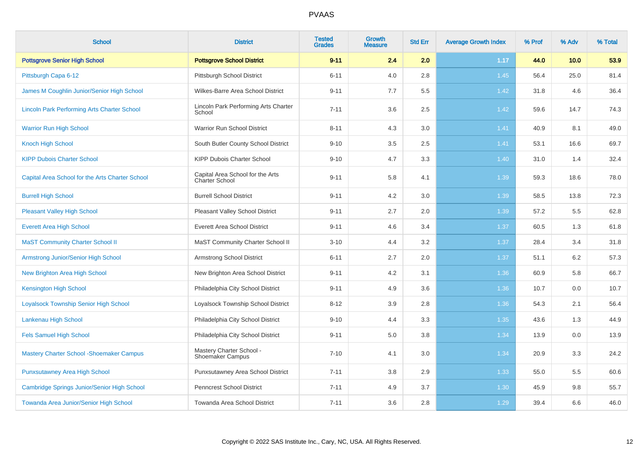| <b>School</b>                                      | <b>District</b>                                    | <b>Tested</b><br><b>Grades</b> | <b>Growth</b><br><b>Measure</b> | <b>Std Err</b> | <b>Average Growth Index</b> | % Prof | % Adv | % Total |
|----------------------------------------------------|----------------------------------------------------|--------------------------------|---------------------------------|----------------|-----------------------------|--------|-------|---------|
| <b>Pottsgrove Senior High School</b>               | <b>Pottsgrove School District</b>                  | $9 - 11$                       | 2.4                             | 2.0            | 1.17                        | 44.0   | 10.0  | 53.9    |
| Pittsburgh Capa 6-12                               | Pittsburgh School District                         | $6 - 11$                       | 4.0                             | 2.8            | 1.45                        | 56.4   | 25.0  | 81.4    |
| James M Coughlin Junior/Senior High School         | Wilkes-Barre Area School District                  | $9 - 11$                       | 7.7                             | 5.5            | 1.42                        | 31.8   | 4.6   | 36.4    |
| <b>Lincoln Park Performing Arts Charter School</b> | Lincoln Park Performing Arts Charter<br>School     | $7 - 11$                       | 3.6                             | 2.5            | 1.42                        | 59.6   | 14.7  | 74.3    |
| <b>Warrior Run High School</b>                     | Warrior Run School District                        | $8 - 11$                       | 4.3                             | $3.0\,$        | 1.41                        | 40.9   | 8.1   | 49.0    |
| <b>Knoch High School</b>                           | South Butler County School District                | $9 - 10$                       | 3.5                             | 2.5            | 1.41                        | 53.1   | 16.6  | 69.7    |
| <b>KIPP Dubois Charter School</b>                  | <b>KIPP Dubois Charter School</b>                  | $9 - 10$                       | 4.7                             | 3.3            | 1.40                        | 31.0   | 1.4   | 32.4    |
| Capital Area School for the Arts Charter School    | Capital Area School for the Arts<br>Charter School | $9 - 11$                       | 5.8                             | 4.1            | 1.39                        | 59.3   | 18.6  | 78.0    |
| <b>Burrell High School</b>                         | <b>Burrell School District</b>                     | $9 - 11$                       | 4.2                             | 3.0            | 1.39                        | 58.5   | 13.8  | 72.3    |
| <b>Pleasant Valley High School</b>                 | Pleasant Valley School District                    | $9 - 11$                       | 2.7                             | 2.0            | 1.39                        | 57.2   | 5.5   | 62.8    |
| <b>Everett Area High School</b>                    | <b>Everett Area School District</b>                | $9 - 11$                       | 4.6                             | 3.4            | 1.37                        | 60.5   | 1.3   | 61.8    |
| <b>MaST Community Charter School II</b>            | MaST Community Charter School II                   | $3 - 10$                       | 4.4                             | 3.2            | 1.37                        | 28.4   | 3.4   | 31.8    |
| <b>Armstrong Junior/Senior High School</b>         | Armstrong School District                          | $6 - 11$                       | 2.7                             | 2.0            | 1.37                        | 51.1   | 6.2   | 57.3    |
| New Brighton Area High School                      | New Brighton Area School District                  | $9 - 11$                       | 4.2                             | 3.1            | 1.36                        | 60.9   | 5.8   | 66.7    |
| <b>Kensington High School</b>                      | Philadelphia City School District                  | $9 - 11$                       | 4.9                             | 3.6            | 1.36                        | 10.7   | 0.0   | 10.7    |
| <b>Loyalsock Township Senior High School</b>       | Loyalsock Township School District                 | $8 - 12$                       | 3.9                             | 2.8            | 1.36                        | 54.3   | 2.1   | 56.4    |
| Lankenau High School                               | Philadelphia City School District                  | $9 - 10$                       | 4.4                             | 3.3            | 1.35                        | 43.6   | 1.3   | 44.9    |
| <b>Fels Samuel High School</b>                     | Philadelphia City School District                  | $9 - 11$                       | 5.0                             | 3.8            | 1.34                        | 13.9   | 0.0   | 13.9    |
| <b>Mastery Charter School - Shoemaker Campus</b>   | Mastery Charter School -<br>Shoemaker Campus       | $7 - 10$                       | 4.1                             | 3.0            | 1.34                        | 20.9   | 3.3   | 24.2    |
| <b>Punxsutawney Area High School</b>               | Punxsutawney Area School District                  | $7 - 11$                       | 3.8                             | 2.9            | 1.33                        | 55.0   | 5.5   | 60.6    |
| Cambridge Springs Junior/Senior High School        | Penncrest School District                          | $7 - 11$                       | 4.9                             | 3.7            | 1.30                        | 45.9   | 9.8   | 55.7    |
| Towanda Area Junior/Senior High School             | Towanda Area School District                       | $7 - 11$                       | 3.6                             | 2.8            | 1.29                        | 39.4   | 6.6   | 46.0    |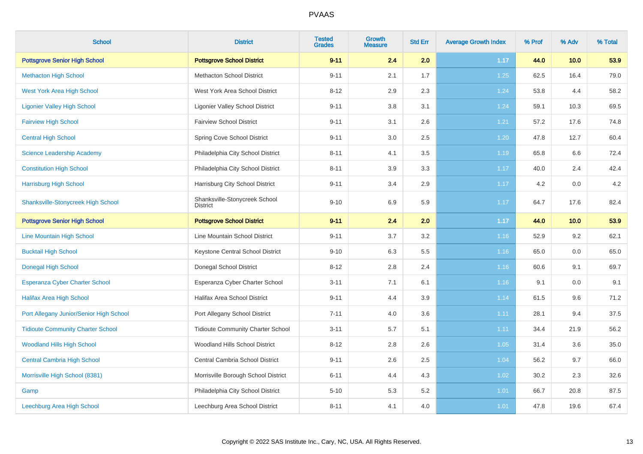| <b>School</b>                             | <b>District</b>                                  | <b>Tested</b><br><b>Grades</b> | <b>Growth</b><br><b>Measure</b> | <b>Std Err</b> | <b>Average Growth Index</b> | % Prof | % Adv | % Total |
|-------------------------------------------|--------------------------------------------------|--------------------------------|---------------------------------|----------------|-----------------------------|--------|-------|---------|
| <b>Pottsgrove Senior High School</b>      | <b>Pottsgrove School District</b>                | $9 - 11$                       | 2.4                             | 2.0            | 1.17                        | 44.0   | 10.0  | 53.9    |
| <b>Methacton High School</b>              | <b>Methacton School District</b>                 | $9 - 11$                       | 2.1                             | 1.7            | 1.25                        | 62.5   | 16.4  | 79.0    |
| <b>West York Area High School</b>         | West York Area School District                   | $8 - 12$                       | 2.9                             | 2.3            | 1.24                        | 53.8   | 4.4   | 58.2    |
| <b>Ligonier Valley High School</b>        | <b>Ligonier Valley School District</b>           | $9 - 11$                       | 3.8                             | 3.1            | 1.24                        | 59.1   | 10.3  | 69.5    |
| <b>Fairview High School</b>               | <b>Fairview School District</b>                  | $9 - 11$                       | 3.1                             | 2.6            | 1.21                        | 57.2   | 17.6  | 74.8    |
| <b>Central High School</b>                | Spring Cove School District                      | $9 - 11$                       | 3.0                             | 2.5            | 1.20                        | 47.8   | 12.7  | 60.4    |
| <b>Science Leadership Academy</b>         | Philadelphia City School District                | $8 - 11$                       | 4.1                             | 3.5            | 1.19                        | 65.8   | 6.6   | 72.4    |
| <b>Constitution High School</b>           | Philadelphia City School District                | $8 - 11$                       | 3.9                             | 3.3            | 1.17                        | 40.0   | 2.4   | 42.4    |
| <b>Harrisburg High School</b>             | Harrisburg City School District                  | $9 - 11$                       | 3.4                             | 2.9            | 1.17                        | 4.2    | 0.0   | 4.2     |
| <b>Shanksville-Stonycreek High School</b> | Shanksville-Stonycreek School<br><b>District</b> | $9 - 10$                       | 6.9                             | 5.9            | 1.17                        | 64.7   | 17.6  | 82.4    |
| <b>Pottsgrove Senior High School</b>      | <b>Pottsgrove School District</b>                | $9 - 11$                       | 2.4                             | 2.0            | 1.17                        | 44.0   | 10.0  | 53.9    |
| Line Mountain High School                 | Line Mountain School District                    | $9 - 11$                       | $3.7\,$                         | $3.2\,$        | 1.16                        | 52.9   | 9.2   | 62.1    |
| <b>Bucktail High School</b>               | Keystone Central School District                 | $9 - 10$                       | 6.3                             | 5.5            | 1.16                        | 65.0   | 0.0   | 65.0    |
| <b>Donegal High School</b>                | Donegal School District                          | $8 - 12$                       | 2.8                             | 2.4            | 1.16                        | 60.6   | 9.1   | 69.7    |
| <b>Esperanza Cyber Charter School</b>     | Esperanza Cyber Charter School                   | $3 - 11$                       | 7.1                             | 6.1            | 1.16                        | 9.1    | 0.0   | 9.1     |
| <b>Halifax Area High School</b>           | <b>Halifax Area School District</b>              | $9 - 11$                       | 4.4                             | 3.9            | 1.14                        | 61.5   | 9.6   | 71.2    |
| Port Allegany Junior/Senior High School   | Port Allegany School District                    | $7 - 11$                       | 4.0                             | 3.6            | 1.11                        | 28.1   | 9.4   | 37.5    |
| <b>Tidioute Community Charter School</b>  | <b>Tidioute Community Charter School</b>         | $3 - 11$                       | 5.7                             | 5.1            | 1.11                        | 34.4   | 21.9  | 56.2    |
| <b>Woodland Hills High School</b>         | Woodland Hills School District                   | $8 - 12$                       | 2.8                             | 2.6            | 1.05                        | 31.4   | 3.6   | 35.0    |
| <b>Central Cambria High School</b>        | Central Cambria School District                  | $9 - 11$                       | 2.6                             | 2.5            | 1.04                        | 56.2   | 9.7   | 66.0    |
| Morrisville High School (8381)            | Morrisville Borough School District              | $6 - 11$                       | 4.4                             | 4.3            | 1.02                        | 30.2   | 2.3   | 32.6    |
| Gamp                                      | Philadelphia City School District                | $5 - 10$                       | 5.3                             | 5.2            | 1.01                        | 66.7   | 20.8  | 87.5    |
| Leechburg Area High School                | Leechburg Area School District                   | $8 - 11$                       | 4.1                             | 4.0            | 1.01                        | 47.8   | 19.6  | 67.4    |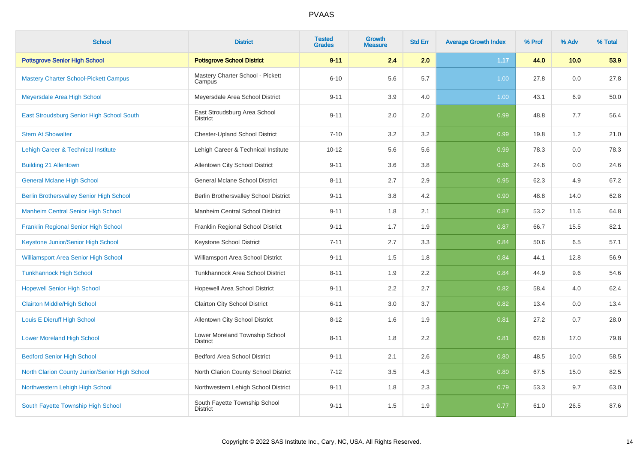| <b>School</b>                                   | <b>District</b>                                   | <b>Tested</b><br><b>Grades</b> | Growth<br><b>Measure</b> | <b>Std Err</b> | <b>Average Growth Index</b> | % Prof | % Adv | % Total |
|-------------------------------------------------|---------------------------------------------------|--------------------------------|--------------------------|----------------|-----------------------------|--------|-------|---------|
| <b>Pottsgrove Senior High School</b>            | <b>Pottsgrove School District</b>                 | $9 - 11$                       | 2.4                      | 2.0            | 1.17                        | 44.0   | 10.0  | 53.9    |
| <b>Mastery Charter School-Pickett Campus</b>    | Mastery Charter School - Pickett<br>Campus        | $6 - 10$                       | 5.6                      | 5.7            | 1.00                        | 27.8   | 0.0   | 27.8    |
| Meyersdale Area High School                     | Meyersdale Area School District                   | $9 - 11$                       | 3.9                      | 4.0            | 1.00                        | 43.1   | 6.9   | 50.0    |
| East Stroudsburg Senior High School South       | East Stroudsburg Area School<br><b>District</b>   | $9 - 11$                       | 2.0                      | 2.0            | 0.99                        | 48.8   | 7.7   | 56.4    |
| <b>Stem At Showalter</b>                        | <b>Chester-Upland School District</b>             | $7 - 10$                       | 3.2                      | 3.2            | 0.99                        | 19.8   | 1.2   | 21.0    |
| Lehigh Career & Technical Institute             | Lehigh Career & Technical Institute               | $10 - 12$                      | 5.6                      | 5.6            | 0.99                        | 78.3   | 0.0   | 78.3    |
| <b>Building 21 Allentown</b>                    | Allentown City School District                    | $9 - 11$                       | 3.6                      | 3.8            | 0.96                        | 24.6   | 0.0   | 24.6    |
| <b>General Mclane High School</b>               | General Mclane School District                    | $8 - 11$                       | 2.7                      | 2.9            | 0.95                        | 62.3   | 4.9   | 67.2    |
| <b>Berlin Brothersvalley Senior High School</b> | Berlin Brothersvalley School District             | $9 - 11$                       | 3.8                      | 4.2            | 0.90                        | 48.8   | 14.0  | 62.8    |
| <b>Manheim Central Senior High School</b>       | Manheim Central School District                   | $9 - 11$                       | 1.8                      | 2.1            | 0.87                        | 53.2   | 11.6  | 64.8    |
| <b>Franklin Regional Senior High School</b>     | Franklin Regional School District                 | $9 - 11$                       | 1.7                      | 1.9            | 0.87                        | 66.7   | 15.5  | 82.1    |
| Keystone Junior/Senior High School              | Keystone School District                          | $7 - 11$                       | 2.7                      | 3.3            | 0.84                        | 50.6   | 6.5   | 57.1    |
| Williamsport Area Senior High School            | Williamsport Area School District                 | $9 - 11$                       | 1.5                      | 1.8            | 0.84                        | 44.1   | 12.8  | 56.9    |
| <b>Tunkhannock High School</b>                  | Tunkhannock Area School District                  | $8 - 11$                       | 1.9                      | 2.2            | 0.84                        | 44.9   | 9.6   | 54.6    |
| <b>Hopewell Senior High School</b>              | Hopewell Area School District                     | $9 - 11$                       | 2.2                      | 2.7            | 0.82                        | 58.4   | 4.0   | 62.4    |
| <b>Clairton Middle/High School</b>              | <b>Clairton City School District</b>              | $6 - 11$                       | 3.0                      | 3.7            | 0.82                        | 13.4   | 0.0   | 13.4    |
| Louis E Dieruff High School                     | Allentown City School District                    | $8 - 12$                       | 1.6                      | 1.9            | 0.81                        | 27.2   | 0.7   | 28.0    |
| <b>Lower Moreland High School</b>               | Lower Moreland Township School<br><b>District</b> | $8 - 11$                       | 1.8                      | 2.2            | 0.81                        | 62.8   | 17.0  | 79.8    |
| <b>Bedford Senior High School</b>               | <b>Bedford Area School District</b>               | $9 - 11$                       | 2.1                      | 2.6            | 0.80                        | 48.5   | 10.0  | 58.5    |
| North Clarion County Junior/Senior High School  | North Clarion County School District              | $7 - 12$                       | $3.5\,$                  | 4.3            | 0.80                        | 67.5   | 15.0  | 82.5    |
| Northwestern Lehigh High School                 | Northwestern Lehigh School District               | $9 - 11$                       | 1.8                      | 2.3            | 0.79                        | 53.3   | 9.7   | 63.0    |
| South Fayette Township High School              | South Fayette Township School<br><b>District</b>  | $9 - 11$                       | 1.5                      | 1.9            | 0.77                        | 61.0   | 26.5  | 87.6    |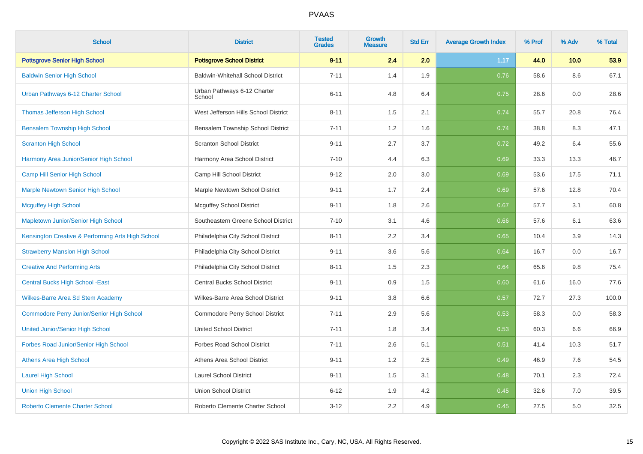| <b>School</b>                                     | <b>District</b>                          | <b>Tested</b><br><b>Grades</b> | <b>Growth</b><br><b>Measure</b> | <b>Std Err</b> | <b>Average Growth Index</b> | % Prof | % Adv | % Total |
|---------------------------------------------------|------------------------------------------|--------------------------------|---------------------------------|----------------|-----------------------------|--------|-------|---------|
| <b>Pottsgrove Senior High School</b>              | <b>Pottsgrove School District</b>        | $9 - 11$                       | 2.4                             | 2.0            | 1.17                        | 44.0   | 10.0  | 53.9    |
| <b>Baldwin Senior High School</b>                 | <b>Baldwin-Whitehall School District</b> | $7 - 11$                       | 1.4                             | 1.9            | 0.76                        | 58.6   | 8.6   | 67.1    |
| Urban Pathways 6-12 Charter School                | Urban Pathways 6-12 Charter<br>School    | $6 - 11$                       | 4.8                             | 6.4            | 0.75                        | 28.6   | 0.0   | 28.6    |
| <b>Thomas Jefferson High School</b>               | West Jefferson Hills School District     | $8 - 11$                       | 1.5                             | 2.1            | 0.74                        | 55.7   | 20.8  | 76.4    |
| <b>Bensalem Township High School</b>              | Bensalem Township School District        | $7 - 11$                       | 1.2                             | 1.6            | 0.74                        | 38.8   | 8.3   | 47.1    |
| <b>Scranton High School</b>                       | <b>Scranton School District</b>          | $9 - 11$                       | 2.7                             | 3.7            | 0.72                        | 49.2   | 6.4   | 55.6    |
| Harmony Area Junior/Senior High School            | Harmony Area School District             | $7 - 10$                       | 4.4                             | 6.3            | 0.69                        | 33.3   | 13.3  | 46.7    |
| Camp Hill Senior High School                      | Camp Hill School District                | $9 - 12$                       | 2.0                             | 3.0            | 0.69                        | 53.6   | 17.5  | 71.1    |
| <b>Marple Newtown Senior High School</b>          | Marple Newtown School District           | $9 - 11$                       | 1.7                             | 2.4            | 0.69                        | 57.6   | 12.8  | 70.4    |
| <b>Mcguffey High School</b>                       | <b>Mcguffey School District</b>          | $9 - 11$                       | 1.8                             | 2.6            | 0.67                        | 57.7   | 3.1   | 60.8    |
| Mapletown Junior/Senior High School               | Southeastern Greene School District      | $7 - 10$                       | 3.1                             | 4.6            | 0.66                        | 57.6   | 6.1   | 63.6    |
| Kensington Creative & Performing Arts High School | Philadelphia City School District        | $8 - 11$                       | 2.2                             | 3.4            | 0.65                        | 10.4   | 3.9   | 14.3    |
| <b>Strawberry Mansion High School</b>             | Philadelphia City School District        | $9 - 11$                       | 3.6                             | 5.6            | 0.64                        | 16.7   | 0.0   | 16.7    |
| <b>Creative And Performing Arts</b>               | Philadelphia City School District        | $8 - 11$                       | 1.5                             | 2.3            | 0.64                        | 65.6   | 9.8   | 75.4    |
| <b>Central Bucks High School - East</b>           | Central Bucks School District            | $9 - 11$                       | 0.9                             | 1.5            | 0.60                        | 61.6   | 16.0  | 77.6    |
| Wilkes-Barre Area Sd Stem Academy                 | Wilkes-Barre Area School District        | $9 - 11$                       | 3.8                             | 6.6            | 0.57                        | 72.7   | 27.3  | 100.0   |
| <b>Commodore Perry Junior/Senior High School</b>  | Commodore Perry School District          | $7 - 11$                       | 2.9                             | 5.6            | 0.53                        | 58.3   | 0.0   | 58.3    |
| <b>United Junior/Senior High School</b>           | <b>United School District</b>            | $7 - 11$                       | 1.8                             | 3.4            | 0.53                        | 60.3   | 6.6   | 66.9    |
| Forbes Road Junior/Senior High School             | <b>Forbes Road School District</b>       | $7 - 11$                       | 2.6                             | 5.1            | 0.51                        | 41.4   | 10.3  | 51.7    |
| <b>Athens Area High School</b>                    | Athens Area School District              | $9 - 11$                       | 1.2                             | 2.5            | 0.49                        | 46.9   | 7.6   | 54.5    |
| <b>Laurel High School</b>                         | <b>Laurel School District</b>            | $9 - 11$                       | 1.5                             | 3.1            | 0.48                        | 70.1   | 2.3   | 72.4    |
| <b>Union High School</b>                          | <b>Union School District</b>             | $6 - 12$                       | 1.9                             | 4.2            | 0.45                        | 32.6   | 7.0   | 39.5    |
| <b>Roberto Clemente Charter School</b>            | Roberto Clemente Charter School          | $3 - 12$                       | 2.2                             | 4.9            | 0.45                        | 27.5   | 5.0   | 32.5    |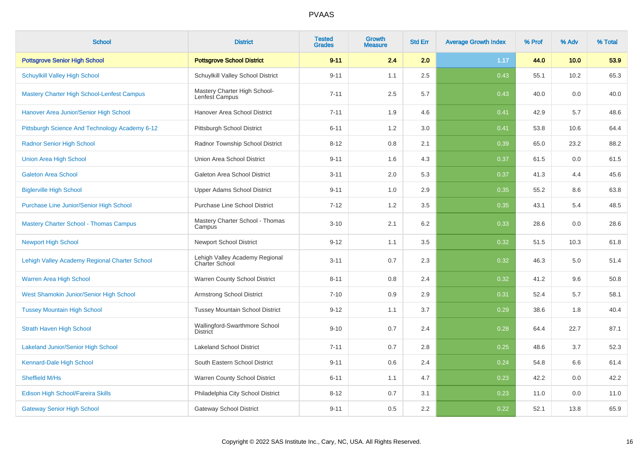| <b>School</b>                                  | <b>District</b>                                         | <b>Tested</b><br><b>Grades</b> | Growth<br><b>Measure</b> | <b>Std Err</b> | <b>Average Growth Index</b> | % Prof | % Adv | % Total |
|------------------------------------------------|---------------------------------------------------------|--------------------------------|--------------------------|----------------|-----------------------------|--------|-------|---------|
| <b>Pottsgrove Senior High School</b>           | <b>Pottsgrove School District</b>                       | $9 - 11$                       | 2.4                      | 2.0            | 1.17                        | 44.0   | 10.0  | 53.9    |
| Schuylkill Valley High School                  | Schuylkill Valley School District                       | $9 - 11$                       | 1.1                      | 2.5            | 0.43                        | 55.1   | 10.2  | 65.3    |
| Mastery Charter High School-Lenfest Campus     | Mastery Charter High School-<br>Lenfest Campus          | $7 - 11$                       | 2.5                      | 5.7            | 0.43                        | 40.0   | 0.0   | 40.0    |
| Hanover Area Junior/Senior High School         | Hanover Area School District                            | $7 - 11$                       | 1.9                      | 4.6            | 0.41                        | 42.9   | 5.7   | 48.6    |
| Pittsburgh Science And Technology Academy 6-12 | Pittsburgh School District                              | $6 - 11$                       | 1.2                      | 3.0            | 0.41                        | 53.8   | 10.6  | 64.4    |
| <b>Radnor Senior High School</b>               | Radnor Township School District                         | $8 - 12$                       | 0.8                      | 2.1            | 0.39                        | 65.0   | 23.2  | 88.2    |
| <b>Union Area High School</b>                  | Union Area School District                              | $9 - 11$                       | 1.6                      | 4.3            | 0.37                        | 61.5   | 0.0   | 61.5    |
| <b>Galeton Area School</b>                     | Galeton Area School District                            | $3 - 11$                       | 2.0                      | 5.3            | 0.37                        | 41.3   | 4.4   | 45.6    |
| <b>Biglerville High School</b>                 | <b>Upper Adams School District</b>                      | $9 - 11$                       | 1.0                      | 2.9            | 0.35                        | 55.2   | 8.6   | 63.8    |
| Purchase Line Junior/Senior High School        | <b>Purchase Line School District</b>                    | $7 - 12$                       | 1.2                      | 3.5            | 0.35                        | 43.1   | 5.4   | 48.5    |
| <b>Mastery Charter School - Thomas Campus</b>  | Mastery Charter School - Thomas<br>Campus               | $3 - 10$                       | 2.1                      | 6.2            | 0.33                        | 28.6   | 0.0   | 28.6    |
| <b>Newport High School</b>                     | <b>Newport School District</b>                          | $9 - 12$                       | 1.1                      | 3.5            | 0.32                        | 51.5   | 10.3  | 61.8    |
| Lehigh Valley Academy Regional Charter School  | Lehigh Valley Academy Regional<br><b>Charter School</b> | $3 - 11$                       | 0.7                      | 2.3            | 0.32                        | 46.3   | 5.0   | 51.4    |
| Warren Area High School                        | Warren County School District                           | $8 - 11$                       | 0.8                      | 2.4            | 0.32                        | 41.2   | 9.6   | 50.8    |
| West Shamokin Junior/Senior High School        | Armstrong School District                               | $7 - 10$                       | 0.9                      | 2.9            | 0.31                        | 52.4   | 5.7   | 58.1    |
| <b>Tussey Mountain High School</b>             | <b>Tussey Mountain School District</b>                  | $9 - 12$                       | 1.1                      | 3.7            | 0.29                        | 38.6   | 1.8   | 40.4    |
| <b>Strath Haven High School</b>                | Wallingford-Swarthmore School<br><b>District</b>        | $9 - 10$                       | 0.7                      | 2.4            | 0.28                        | 64.4   | 22.7  | 87.1    |
| <b>Lakeland Junior/Senior High School</b>      | <b>Lakeland School District</b>                         | $7 - 11$                       | 0.7                      | 2.8            | 0.25                        | 48.6   | 3.7   | 52.3    |
| Kennard-Dale High School                       | South Eastern School District                           | $9 - 11$                       | 0.6                      | 2.4            | 0.24                        | 54.8   | 6.6   | 61.4    |
| Sheffield M/Hs                                 | Warren County School District                           | $6 - 11$                       | 1.1                      | 4.7            | 0.23                        | 42.2   | 0.0   | 42.2    |
| Edison High School/Fareira Skills              | Philadelphia City School District                       | $8 - 12$                       | 0.7                      | 3.1            | 0.23                        | 11.0   | 0.0   | 11.0    |
| <b>Gateway Senior High School</b>              | <b>Gateway School District</b>                          | $9 - 11$                       | 0.5                      | 2.2            | 0.22                        | 52.1   | 13.8  | 65.9    |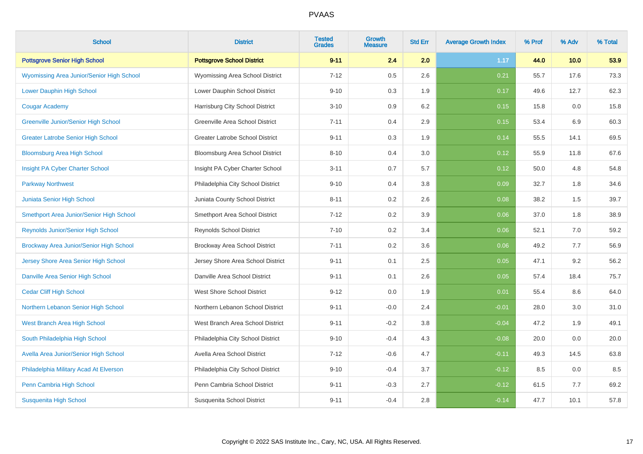| <b>School</b>                                    | <b>District</b>                        | <b>Tested</b><br><b>Grades</b> | <b>Growth</b><br><b>Measure</b> | <b>Std Err</b> | <b>Average Growth Index</b> | % Prof | % Adv | % Total |
|--------------------------------------------------|----------------------------------------|--------------------------------|---------------------------------|----------------|-----------------------------|--------|-------|---------|
| <b>Pottsgrove Senior High School</b>             | <b>Pottsgrove School District</b>      | $9 - 11$                       | 2.4                             | 2.0            | 1.17                        | 44.0   | 10.0  | 53.9    |
| <b>Wyomissing Area Junior/Senior High School</b> | Wyomissing Area School District        | $7 - 12$                       | 0.5                             | 2.6            | 0.21                        | 55.7   | 17.6  | 73.3    |
| Lower Dauphin High School                        | Lower Dauphin School District          | $9 - 10$                       | 0.3                             | 1.9            | 0.17                        | 49.6   | 12.7  | 62.3    |
| <b>Cougar Academy</b>                            | Harrisburg City School District        | $3 - 10$                       | 0.9                             | 6.2            | 0.15                        | 15.8   | 0.0   | 15.8    |
| <b>Greenville Junior/Senior High School</b>      | Greenville Area School District        | $7 - 11$                       | 0.4                             | 2.9            | 0.15                        | 53.4   | 6.9   | 60.3    |
| <b>Greater Latrobe Senior High School</b>        | <b>Greater Latrobe School District</b> | $9 - 11$                       | 0.3                             | 1.9            | 0.14                        | 55.5   | 14.1  | 69.5    |
| <b>Bloomsburg Area High School</b>               | Bloomsburg Area School District        | $8 - 10$                       | 0.4                             | 3.0            | 0.12                        | 55.9   | 11.8  | 67.6    |
| Insight PA Cyber Charter School                  | Insight PA Cyber Charter School        | $3 - 11$                       | 0.7                             | 5.7            | 0.12                        | 50.0   | 4.8   | 54.8    |
| <b>Parkway Northwest</b>                         | Philadelphia City School District      | $9 - 10$                       | 0.4                             | 3.8            | 0.09                        | 32.7   | 1.8   | 34.6    |
| Juniata Senior High School                       | Juniata County School District         | $8 - 11$                       | 0.2                             | 2.6            | 0.08                        | 38.2   | 1.5   | 39.7    |
| Smethport Area Junior/Senior High School         | Smethport Area School District         | $7 - 12$                       | 0.2                             | 3.9            | 0.06                        | 37.0   | 1.8   | 38.9    |
| Reynolds Junior/Senior High School               | <b>Reynolds School District</b>        | $7 - 10$                       | 0.2                             | 3.4            | 0.06                        | 52.1   | 7.0   | 59.2    |
| Brockway Area Junior/Senior High School          | Brockway Area School District          | $7 - 11$                       | 0.2                             | 3.6            | 0.06                        | 49.2   | 7.7   | 56.9    |
| Jersey Shore Area Senior High School             | Jersey Shore Area School District      | $9 - 11$                       | 0.1                             | 2.5            | 0.05                        | 47.1   | 9.2   | 56.2    |
| Danville Area Senior High School                 | Danville Area School District          | $9 - 11$                       | 0.1                             | 2.6            | 0.05                        | 57.4   | 18.4  | 75.7    |
| <b>Cedar Cliff High School</b>                   | <b>West Shore School District</b>      | $9 - 12$                       | 0.0                             | 1.9            | 0.01                        | 55.4   | 8.6   | 64.0    |
| Northern Lebanon Senior High School              | Northern Lebanon School District       | $9 - 11$                       | $-0.0$                          | 2.4            | $-0.01$                     | 28.0   | 3.0   | 31.0    |
| West Branch Area High School                     | West Branch Area School District       | $9 - 11$                       | $-0.2$                          | 3.8            | $-0.04$                     | 47.2   | 1.9   | 49.1    |
| South Philadelphia High School                   | Philadelphia City School District      | $9 - 10$                       | $-0.4$                          | 4.3            | $-0.08$                     | 20.0   | 0.0   | 20.0    |
| Avella Area Junior/Senior High School            | Avella Area School District            | $7 - 12$                       | $-0.6$                          | 4.7            | $-0.11$                     | 49.3   | 14.5  | 63.8    |
| Philadelphia Military Acad At Elverson           | Philadelphia City School District      | $9 - 10$                       | $-0.4$                          | 3.7            | $-0.12$                     | 8.5    | 0.0   | 8.5     |
| Penn Cambria High School                         | Penn Cambria School District           | $9 - 11$                       | $-0.3$                          | 2.7            | $-0.12$                     | 61.5   | 7.7   | 69.2    |
| <b>Susquenita High School</b>                    | Susquenita School District             | $9 - 11$                       | $-0.4$                          | 2.8            | $-0.14$                     | 47.7   | 10.1  | 57.8    |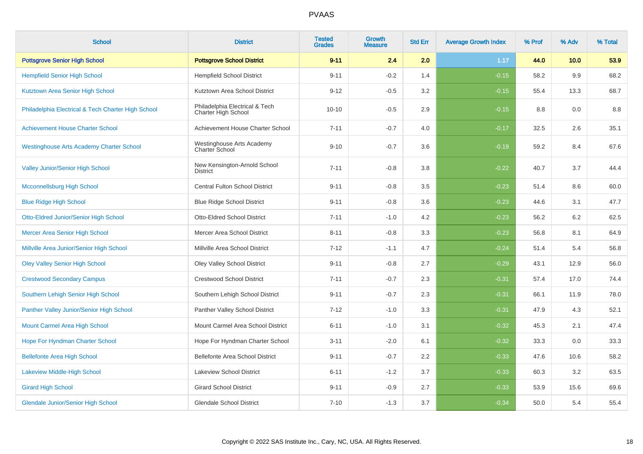| <b>School</b>                                      | <b>District</b>                                       | <b>Tested</b><br><b>Grades</b> | Growth<br><b>Measure</b> | <b>Std Err</b> | <b>Average Growth Index</b> | % Prof | % Adv | % Total |
|----------------------------------------------------|-------------------------------------------------------|--------------------------------|--------------------------|----------------|-----------------------------|--------|-------|---------|
| <b>Pottsgrove Senior High School</b>               | <b>Pottsgrove School District</b>                     | $9 - 11$                       | 2.4                      | 2.0            | 1.17                        | 44.0   | 10.0  | 53.9    |
| <b>Hempfield Senior High School</b>                | <b>Hempfield School District</b>                      | $9 - 11$                       | $-0.2$                   | 1.4            | $-0.15$                     | 58.2   | 9.9   | 68.2    |
| Kutztown Area Senior High School                   | Kutztown Area School District                         | $9 - 12$                       | $-0.5$                   | 3.2            | $-0.15$                     | 55.4   | 13.3  | 68.7    |
| Philadelphia Electrical & Tech Charter High School | Philadelphia Electrical & Tech<br>Charter High School | $10 - 10$                      | $-0.5$                   | 2.9            | $-0.15$                     | 8.8    | 0.0   | 8.8     |
| <b>Achievement House Charter School</b>            | Achievement House Charter School                      | $7 - 11$                       | $-0.7$                   | 4.0            | $-0.17$                     | 32.5   | 2.6   | 35.1    |
| <b>Westinghouse Arts Academy Charter School</b>    | Westinghouse Arts Academy<br>Charter School           | $9 - 10$                       | $-0.7$                   | 3.6            | $-0.19$                     | 59.2   | 8.4   | 67.6    |
| <b>Valley Junior/Senior High School</b>            | New Kensington-Arnold School<br><b>District</b>       | $7 - 11$                       | $-0.8$                   | 3.8            | $-0.22$                     | 40.7   | 3.7   | 44.4    |
| <b>Mcconnellsburg High School</b>                  | <b>Central Fulton School District</b>                 | $9 - 11$                       | $-0.8$                   | $3.5\,$        | $-0.23$                     | 51.4   | 8.6   | 60.0    |
| <b>Blue Ridge High School</b>                      | <b>Blue Ridge School District</b>                     | $9 - 11$                       | $-0.8$                   | 3.6            | $-0.23$                     | 44.6   | 3.1   | 47.7    |
| <b>Otto-Eldred Junior/Senior High School</b>       | Otto-Eldred School District                           | $7 - 11$                       | $-1.0$                   | 4.2            | $-0.23$                     | 56.2   | 6.2   | 62.5    |
| Mercer Area Senior High School                     | Mercer Area School District                           | $8 - 11$                       | $-0.8$                   | 3.3            | $-0.23$                     | 56.8   | 8.1   | 64.9    |
| Millville Area Junior/Senior High School           | Millville Area School District                        | $7 - 12$                       | $-1.1$                   | 4.7            | $-0.24$                     | 51.4   | 5.4   | 56.8    |
| <b>Oley Valley Senior High School</b>              | Oley Valley School District                           | $9 - 11$                       | $-0.8$                   | 2.7            | $-0.29$                     | 43.1   | 12.9  | 56.0    |
| <b>Crestwood Secondary Campus</b>                  | <b>Crestwood School District</b>                      | $7 - 11$                       | $-0.7$                   | 2.3            | $-0.31$                     | 57.4   | 17.0  | 74.4    |
| Southern Lehigh Senior High School                 | Southern Lehigh School District                       | $9 - 11$                       | $-0.7$                   | 2.3            | $-0.31$                     | 66.1   | 11.9  | 78.0    |
| Panther Valley Junior/Senior High School           | Panther Valley School District                        | $7 - 12$                       | $-1.0$                   | 3.3            | $-0.31$                     | 47.9   | 4.3   | 52.1    |
| Mount Carmel Area High School                      | Mount Carmel Area School District                     | $6 - 11$                       | $-1.0$                   | 3.1            | $-0.32$                     | 45.3   | 2.1   | 47.4    |
| Hope For Hyndman Charter School                    | Hope For Hyndman Charter School                       | $3 - 11$                       | $-2.0$                   | 6.1            | $-0.32$                     | 33.3   | 0.0   | 33.3    |
| <b>Bellefonte Area High School</b>                 | Bellefonte Area School District                       | $9 - 11$                       | $-0.7$                   | 2.2            | $-0.33$                     | 47.6   | 10.6  | 58.2    |
| <b>Lakeview Middle-High School</b>                 | <b>Lakeview School District</b>                       | $6 - 11$                       | $-1.2$                   | 3.7            | $-0.33$                     | 60.3   | 3.2   | 63.5    |
| <b>Girard High School</b>                          | <b>Girard School District</b>                         | $9 - 11$                       | $-0.9$                   | 2.7            | $-0.33$                     | 53.9   | 15.6  | 69.6    |
| <b>Glendale Junior/Senior High School</b>          | <b>Glendale School District</b>                       | $7 - 10$                       | $-1.3$                   | 3.7            | $-0.34$                     | 50.0   | 5.4   | 55.4    |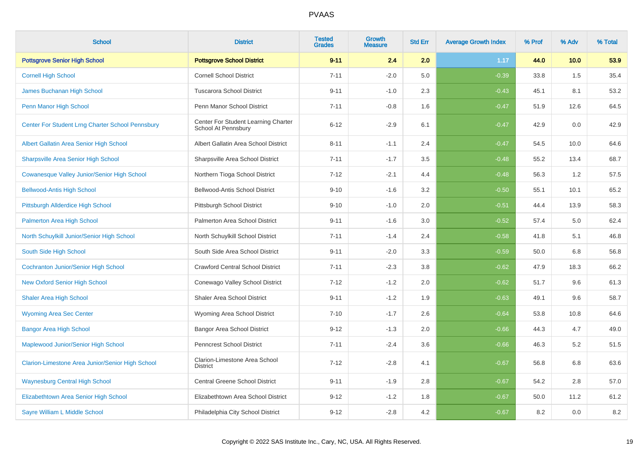| <b>School</b>                                      | <b>District</b>                                            | <b>Tested</b><br><b>Grades</b> | <b>Growth</b><br><b>Measure</b> | <b>Std Err</b> | <b>Average Growth Index</b> | % Prof | % Adv | % Total |
|----------------------------------------------------|------------------------------------------------------------|--------------------------------|---------------------------------|----------------|-----------------------------|--------|-------|---------|
| <b>Pottsgrove Senior High School</b>               | <b>Pottsgrove School District</b>                          | $9 - 11$                       | 2.4                             | 2.0            | 1.17                        | 44.0   | 10.0  | 53.9    |
| <b>Cornell High School</b>                         | <b>Cornell School District</b>                             | $7 - 11$                       | $-2.0$                          | 5.0            | $-0.39$                     | 33.8   | 1.5   | 35.4    |
| James Buchanan High School                         | <b>Tuscarora School District</b>                           | $9 - 11$                       | $-1.0$                          | 2.3            | $-0.43$                     | 45.1   | 8.1   | 53.2    |
| Penn Manor High School                             | Penn Manor School District                                 | $7 - 11$                       | $-0.8$                          | 1.6            | $-0.47$                     | 51.9   | 12.6  | 64.5    |
| Center For Student Lrng Charter School Pennsbury   | Center For Student Learning Charter<br>School At Pennsbury | $6 - 12$                       | $-2.9$                          | 6.1            | $-0.47$                     | 42.9   | 0.0   | 42.9    |
| Albert Gallatin Area Senior High School            | Albert Gallatin Area School District                       | $8 - 11$                       | $-1.1$                          | 2.4            | $-0.47$                     | 54.5   | 10.0  | 64.6    |
| <b>Sharpsville Area Senior High School</b>         | Sharpsville Area School District                           | $7 - 11$                       | $-1.7$                          | 3.5            | $-0.48$                     | 55.2   | 13.4  | 68.7    |
| <b>Cowanesque Valley Junior/Senior High School</b> | Northern Tioga School District                             | $7 - 12$                       | $-2.1$                          | 4.4            | $-0.48$                     | 56.3   | 1.2   | 57.5    |
| <b>Bellwood-Antis High School</b>                  | Bellwood-Antis School District                             | $9 - 10$                       | $-1.6$                          | 3.2            | $-0.50$                     | 55.1   | 10.1  | 65.2    |
| Pittsburgh Allderdice High School                  | Pittsburgh School District                                 | $9 - 10$                       | $-1.0$                          | 2.0            | $-0.51$                     | 44.4   | 13.9  | 58.3    |
| Palmerton Area High School                         | Palmerton Area School District                             | $9 - 11$                       | $-1.6$                          | 3.0            | $-0.52$                     | 57.4   | 5.0   | 62.4    |
| North Schuylkill Junior/Senior High School         | North Schuylkill School District                           | $7 - 11$                       | $-1.4$                          | 2.4            | $-0.58$                     | 41.8   | 5.1   | 46.8    |
| South Side High School                             | South Side Area School District                            | $9 - 11$                       | $-2.0$                          | $3.3\,$        | $-0.59$                     | 50.0   | 6.8   | 56.8    |
| <b>Cochranton Junior/Senior High School</b>        | <b>Crawford Central School District</b>                    | $7 - 11$                       | $-2.3$                          | 3.8            | $-0.62$                     | 47.9   | 18.3  | 66.2    |
| <b>New Oxford Senior High School</b>               | Conewago Valley School District                            | $7 - 12$                       | $-1.2$                          | 2.0            | $-0.62$                     | 51.7   | 9.6   | 61.3    |
| <b>Shaler Area High School</b>                     | <b>Shaler Area School District</b>                         | $9 - 11$                       | $-1.2$                          | 1.9            | $-0.63$                     | 49.1   | 9.6   | 58.7    |
| <b>Wyoming Area Sec Center</b>                     | Wyoming Area School District                               | $7 - 10$                       | $-1.7$                          | 2.6            | $-0.64$                     | 53.8   | 10.8  | 64.6    |
| <b>Bangor Area High School</b>                     | <b>Bangor Area School District</b>                         | $9 - 12$                       | $-1.3$                          | 2.0            | $-0.66$                     | 44.3   | 4.7   | 49.0    |
| Maplewood Junior/Senior High School                | Penncrest School District                                  | $7 - 11$                       | $-2.4$                          | 3.6            | $-0.66$                     | 46.3   | 5.2   | 51.5    |
| Clarion-Limestone Area Junior/Senior High School   | Clarion-Limestone Area School<br><b>District</b>           | $7 - 12$                       | $-2.8$                          | 4.1            | $-0.67$                     | 56.8   | 6.8   | 63.6    |
| <b>Waynesburg Central High School</b>              | Central Greene School District                             | $9 - 11$                       | $-1.9$                          | 2.8            | $-0.67$                     | 54.2   | 2.8   | 57.0    |
| Elizabethtown Area Senior High School              | Elizabethtown Area School District                         | $9 - 12$                       | $-1.2$                          | 1.8            | $-0.67$                     | 50.0   | 11.2  | 61.2    |
| Sayre William L Middle School                      | Philadelphia City School District                          | $9 - 12$                       | $-2.8$                          | 4.2            | $-0.67$                     | 8.2    | 0.0   | $8.2\,$ |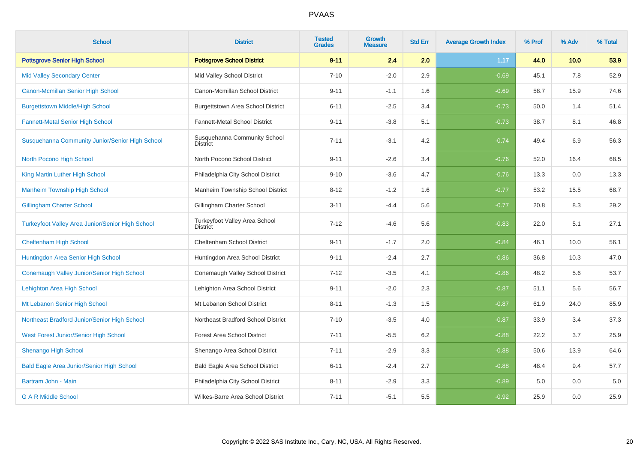| <b>School</b>                                           | <b>District</b>                                  | <b>Tested</b><br><b>Grades</b> | <b>Growth</b><br><b>Measure</b> | <b>Std Err</b> | <b>Average Growth Index</b> | % Prof | % Adv | % Total |
|---------------------------------------------------------|--------------------------------------------------|--------------------------------|---------------------------------|----------------|-----------------------------|--------|-------|---------|
| <b>Pottsgrove Senior High School</b>                    | <b>Pottsgrove School District</b>                | $9 - 11$                       | 2.4                             | 2.0            | 1.17                        | 44.0   | 10.0  | 53.9    |
| <b>Mid Valley Secondary Center</b>                      | Mid Valley School District                       | $7 - 10$                       | $-2.0$                          | 2.9            | $-0.69$                     | 45.1   | 7.8   | 52.9    |
| Canon-Mcmillan Senior High School                       | Canon-Mcmillan School District                   | $9 - 11$                       | $-1.1$                          | 1.6            | $-0.69$                     | 58.7   | 15.9  | 74.6    |
| <b>Burgettstown Middle/High School</b>                  | Burgettstown Area School District                | $6 - 11$                       | $-2.5$                          | 3.4            | $-0.73$                     | 50.0   | 1.4   | 51.4    |
| <b>Fannett-Metal Senior High School</b>                 | Fannett-Metal School District                    | $9 - 11$                       | $-3.8$                          | 5.1            | $-0.73$                     | 38.7   | 8.1   | 46.8    |
| Susquehanna Community Junior/Senior High School         | Susquehanna Community School<br><b>District</b>  | $7 - 11$                       | $-3.1$                          | 4.2            | $-0.74$                     | 49.4   | 6.9   | 56.3    |
| North Pocono High School                                | North Pocono School District                     | $9 - 11$                       | $-2.6$                          | 3.4            | $-0.76$                     | 52.0   | 16.4  | 68.5    |
| King Martin Luther High School                          | Philadelphia City School District                | $9 - 10$                       | $-3.6$                          | 4.7            | $-0.76$                     | 13.3   | 0.0   | 13.3    |
| <b>Manheim Township High School</b>                     | Manheim Township School District                 | $8 - 12$                       | $-1.2$                          | 1.6            | $-0.77$                     | 53.2   | 15.5  | 68.7    |
| <b>Gillingham Charter School</b>                        | Gillingham Charter School                        | $3 - 11$                       | $-4.4$                          | 5.6            | $-0.77$                     | 20.8   | 8.3   | 29.2    |
| <b>Turkeyfoot Valley Area Junior/Senior High School</b> | Turkeyfoot Valley Area School<br><b>District</b> | $7 - 12$                       | $-4.6$                          | 5.6            | $-0.83$                     | 22.0   | 5.1   | 27.1    |
| <b>Cheltenham High School</b>                           | Cheltenham School District                       | $9 - 11$                       | $-1.7$                          | 2.0            | $-0.84$                     | 46.1   | 10.0  | 56.1    |
| Huntingdon Area Senior High School                      | Huntingdon Area School District                  | $9 - 11$                       | $-2.4$                          | 2.7            | $-0.86$                     | 36.8   | 10.3  | 47.0    |
| Conemaugh Valley Junior/Senior High School              | Conemaugh Valley School District                 | $7 - 12$                       | $-3.5$                          | 4.1            | $-0.86$                     | 48.2   | 5.6   | 53.7    |
| Lehighton Area High School                              | Lehighton Area School District                   | $9 - 11$                       | $-2.0$                          | 2.3            | $-0.87$                     | 51.1   | 5.6   | 56.7    |
| Mt Lebanon Senior High School                           | Mt Lebanon School District                       | $8 - 11$                       | $-1.3$                          | 1.5            | $-0.87$                     | 61.9   | 24.0  | 85.9    |
| Northeast Bradford Junior/Senior High School            | Northeast Bradford School District               | $7 - 10$                       | $-3.5$                          | 4.0            | $-0.87$                     | 33.9   | 3.4   | 37.3    |
| West Forest Junior/Senior High School                   | <b>Forest Area School District</b>               | $7 - 11$                       | $-5.5$                          | 6.2            | $-0.88$                     | 22.2   | 3.7   | 25.9    |
| <b>Shenango High School</b>                             | Shenango Area School District                    | $7 - 11$                       | $-2.9$                          | 3.3            | $-0.88$                     | 50.6   | 13.9  | 64.6    |
| <b>Bald Eagle Area Junior/Senior High School</b>        | Bald Eagle Area School District                  | $6 - 11$                       | $-2.4$                          | 2.7            | $-0.88$                     | 48.4   | 9.4   | 57.7    |
| Bartram John - Main                                     | Philadelphia City School District                | $8 - 11$                       | $-2.9$                          | 3.3            | $-0.89$                     | 5.0    | 0.0   | 5.0     |
| <b>G A R Middle School</b>                              | Wilkes-Barre Area School District                | $7 - 11$                       | $-5.1$                          | 5.5            | $-0.92$                     | 25.9   | 0.0   | 25.9    |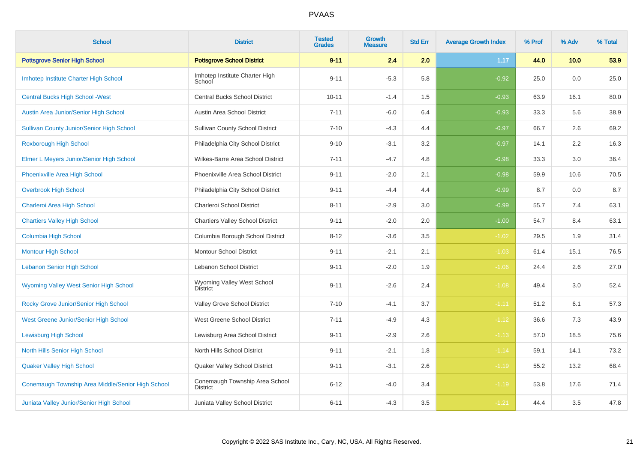| <b>School</b>                                     | <b>District</b>                                   | <b>Tested</b><br><b>Grades</b> | <b>Growth</b><br><b>Measure</b> | <b>Std Err</b> | <b>Average Growth Index</b> | % Prof | % Adv | % Total |
|---------------------------------------------------|---------------------------------------------------|--------------------------------|---------------------------------|----------------|-----------------------------|--------|-------|---------|
| <b>Pottsgrove Senior High School</b>              | <b>Pottsgrove School District</b>                 | $9 - 11$                       | 2.4                             | 2.0            | 1.17                        | 44.0   | 10.0  | 53.9    |
| Imhotep Institute Charter High School             | Imhotep Institute Charter High<br>School          | $9 - 11$                       | $-5.3$                          | 5.8            | $-0.92$                     | 25.0   | 0.0   | 25.0    |
| <b>Central Bucks High School - West</b>           | <b>Central Bucks School District</b>              | $10 - 11$                      | $-1.4$                          | 1.5            | $-0.93$                     | 63.9   | 16.1  | 80.0    |
| Austin Area Junior/Senior High School             | Austin Area School District                       | $7 - 11$                       | $-6.0$                          | 6.4            | $-0.93$                     | 33.3   | 5.6   | 38.9    |
| <b>Sullivan County Junior/Senior High School</b>  | <b>Sullivan County School District</b>            | $7 - 10$                       | $-4.3$                          | 4.4            | $-0.97$                     | 66.7   | 2.6   | 69.2    |
| Roxborough High School                            | Philadelphia City School District                 | $9 - 10$                       | $-3.1$                          | 3.2            | $-0.97$                     | 14.1   | 2.2   | 16.3    |
| Elmer L Meyers Junior/Senior High School          | Wilkes-Barre Area School District                 | $7 - 11$                       | $-4.7$                          | 4.8            | $-0.98$                     | 33.3   | 3.0   | 36.4    |
| <b>Phoenixville Area High School</b>              | Phoenixville Area School District                 | $9 - 11$                       | $-2.0$                          | 2.1            | $-0.98$                     | 59.9   | 10.6  | 70.5    |
| <b>Overbrook High School</b>                      | Philadelphia City School District                 | $9 - 11$                       | $-4.4$                          | 4.4            | $-0.99$                     | 8.7    | 0.0   | 8.7     |
| Charleroi Area High School                        | Charleroi School District                         | $8 - 11$                       | $-2.9$                          | 3.0            | $-0.99$                     | 55.7   | 7.4   | 63.1    |
| <b>Chartiers Valley High School</b>               | <b>Chartiers Valley School District</b>           | $9 - 11$                       | $-2.0$                          | 2.0            | $-1.00$                     | 54.7   | 8.4   | 63.1    |
| <b>Columbia High School</b>                       | Columbia Borough School District                  | $8 - 12$                       | $-3.6$                          | 3.5            | $-1.02$                     | 29.5   | 1.9   | 31.4    |
| <b>Montour High School</b>                        | <b>Montour School District</b>                    | $9 - 11$                       | $-2.1$                          | 2.1            | $-1.03$                     | 61.4   | 15.1  | 76.5    |
| <b>Lebanon Senior High School</b>                 | <b>Lebanon School District</b>                    | $9 - 11$                       | $-2.0$                          | 1.9            | $-1.06$                     | 24.4   | 2.6   | 27.0    |
| Wyoming Valley West Senior High School            | Wyoming Valley West School<br><b>District</b>     | $9 - 11$                       | $-2.6$                          | 2.4            | $-1.08$                     | 49.4   | 3.0   | 52.4    |
| Rocky Grove Junior/Senior High School             | Valley Grove School District                      | $7 - 10$                       | $-4.1$                          | 3.7            | $-1.11$                     | 51.2   | 6.1   | 57.3    |
| West Greene Junior/Senior High School             | West Greene School District                       | $7 - 11$                       | $-4.9$                          | 4.3            | $-1.12$                     | 36.6   | 7.3   | 43.9    |
| <b>Lewisburg High School</b>                      | Lewisburg Area School District                    | $9 - 11$                       | $-2.9$                          | 2.6            | $-1.13$                     | 57.0   | 18.5  | 75.6    |
| <b>North Hills Senior High School</b>             | North Hills School District                       | $9 - 11$                       | $-2.1$                          | 1.8            | $-1.14$                     | 59.1   | 14.1  | 73.2    |
| <b>Quaker Valley High School</b>                  | Quaker Valley School District                     | $9 - 11$                       | $-3.1$                          | 2.6            | $-1.19$                     | 55.2   | 13.2  | 68.4    |
| Conemaugh Township Area Middle/Senior High School | Conemaugh Township Area School<br><b>District</b> | $6 - 12$                       | $-4.0$                          | 3.4            | $-1.19$                     | 53.8   | 17.6  | 71.4    |
| Juniata Valley Junior/Senior High School          | Juniata Valley School District                    | $6 - 11$                       | $-4.3$                          | 3.5            | $-1.21$                     | 44.4   | 3.5   | 47.8    |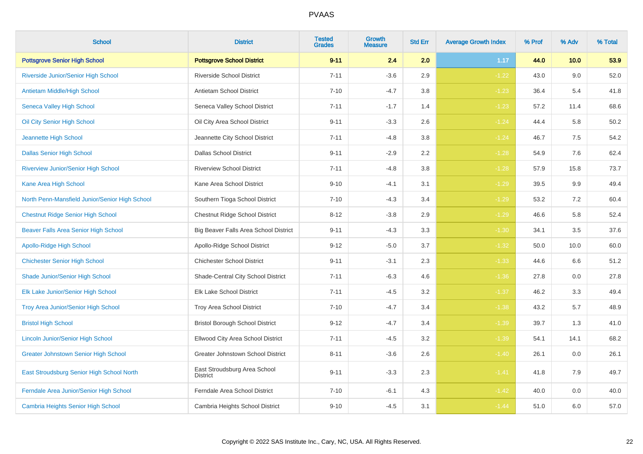| <b>School</b>                                  | <b>District</b>                                 | <b>Tested</b><br><b>Grades</b> | <b>Growth</b><br><b>Measure</b> | <b>Std Err</b> | <b>Average Growth Index</b> | % Prof | % Adv | % Total |
|------------------------------------------------|-------------------------------------------------|--------------------------------|---------------------------------|----------------|-----------------------------|--------|-------|---------|
| <b>Pottsgrove Senior High School</b>           | <b>Pottsgrove School District</b>               | $9 - 11$                       | 2.4                             | 2.0            | 1.17                        | 44.0   | 10.0  | 53.9    |
| Riverside Junior/Senior High School            | <b>Riverside School District</b>                | $7 - 11$                       | $-3.6$                          | 2.9            | $-1.22$                     | 43.0   | 9.0   | 52.0    |
| Antietam Middle/High School                    | Antietam School District                        | $7 - 10$                       | $-4.7$                          | 3.8            | $-1.23$                     | 36.4   | 5.4   | 41.8    |
| Seneca Valley High School                      | Seneca Valley School District                   | $7 - 11$                       | $-1.7$                          | 1.4            | $-1.23$                     | 57.2   | 11.4  | 68.6    |
| Oil City Senior High School                    | Oil City Area School District                   | $9 - 11$                       | $-3.3$                          | 2.6            | $-1.24$                     | 44.4   | 5.8   | 50.2    |
| Jeannette High School                          | Jeannette City School District                  | $7 - 11$                       | $-4.8$                          | 3.8            | $-1.24$                     | 46.7   | 7.5   | 54.2    |
| <b>Dallas Senior High School</b>               | <b>Dallas School District</b>                   | $9 - 11$                       | $-2.9$                          | 2.2            | $-1.28$                     | 54.9   | 7.6   | 62.4    |
| <b>Riverview Junior/Senior High School</b>     | <b>Riverview School District</b>                | $7 - 11$                       | $-4.8$                          | 3.8            | $-1.28$                     | 57.9   | 15.8  | 73.7    |
| Kane Area High School                          | Kane Area School District                       | $9 - 10$                       | $-4.1$                          | 3.1            | $-1.29$                     | 39.5   | 9.9   | 49.4    |
| North Penn-Mansfield Junior/Senior High School | Southern Tioga School District                  | $7 - 10$                       | $-4.3$                          | 3.4            | $-1.29$                     | 53.2   | 7.2   | 60.4    |
| <b>Chestnut Ridge Senior High School</b>       | Chestnut Ridge School District                  | $8 - 12$                       | $-3.8$                          | 2.9            | $-1.29$                     | 46.6   | 5.8   | 52.4    |
| Beaver Falls Area Senior High School           | Big Beaver Falls Area School District           | $9 - 11$                       | $-4.3$                          | 3.3            | $-1.30$                     | 34.1   | 3.5   | 37.6    |
| <b>Apollo-Ridge High School</b>                | Apollo-Ridge School District                    | $9 - 12$                       | $-5.0$                          | 3.7            | $-1.32$                     | 50.0   | 10.0  | 60.0    |
| <b>Chichester Senior High School</b>           | <b>Chichester School District</b>               | $9 - 11$                       | $-3.1$                          | 2.3            | $-1.33$                     | 44.6   | 6.6   | 51.2    |
| Shade Junior/Senior High School                | Shade-Central City School District              | $7 - 11$                       | $-6.3$                          | 4.6            | $-1.36$                     | 27.8   | 0.0   | 27.8    |
| Elk Lake Junior/Senior High School             | Elk Lake School District                        | $7 - 11$                       | $-4.5$                          | 3.2            | $-1.37$                     | 46.2   | 3.3   | 49.4    |
| Troy Area Junior/Senior High School            | Troy Area School District                       | $7 - 10$                       | $-4.7$                          | 3.4            | $-1.38$                     | 43.2   | 5.7   | 48.9    |
| <b>Bristol High School</b>                     | <b>Bristol Borough School District</b>          | $9 - 12$                       | $-4.7$                          | 3.4            | $-1.39$                     | 39.7   | 1.3   | 41.0    |
| <b>Lincoln Junior/Senior High School</b>       | Ellwood City Area School District               | $7 - 11$                       | $-4.5$                          | 3.2            | $-1.39$                     | 54.1   | 14.1  | 68.2    |
| <b>Greater Johnstown Senior High School</b>    | Greater Johnstown School District               | $8 - 11$                       | $-3.6$                          | 2.6            | $-1.40$                     | 26.1   | 0.0   | 26.1    |
| East Stroudsburg Senior High School North      | East Stroudsburg Area School<br><b>District</b> | $9 - 11$                       | $-3.3$                          | 2.3            | $-1.41$                     | 41.8   | 7.9   | 49.7    |
| Ferndale Area Junior/Senior High School        | Ferndale Area School District                   | $7 - 10$                       | $-6.1$                          | 4.3            | $-1.42$                     | 40.0   | 0.0   | 40.0    |
| <b>Cambria Heights Senior High School</b>      | Cambria Heights School District                 | $9 - 10$                       | $-4.5$                          | 3.1            | $-1.44$                     | 51.0   | 6.0   | 57.0    |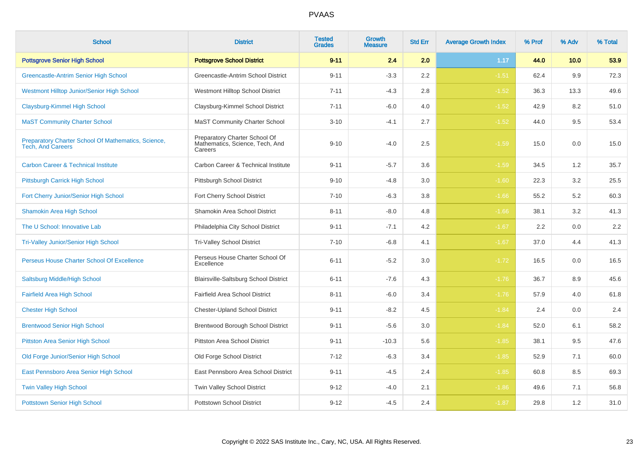| <b>School</b>                                                                   | <b>District</b>                                                             | <b>Tested</b><br><b>Grades</b> | <b>Growth</b><br><b>Measure</b> | <b>Std Err</b> | <b>Average Growth Index</b> | % Prof | % Adv | % Total |
|---------------------------------------------------------------------------------|-----------------------------------------------------------------------------|--------------------------------|---------------------------------|----------------|-----------------------------|--------|-------|---------|
| <b>Pottsgrove Senior High School</b>                                            | <b>Pottsgrove School District</b>                                           | $9 - 11$                       | 2.4                             | 2.0            | 1.17                        | 44.0   | 10.0  | 53.9    |
| Greencastle-Antrim Senior High School                                           | Greencastle-Antrim School District                                          | $9 - 11$                       | $-3.3$                          | 2.2            | $-1.51$                     | 62.4   | 9.9   | 72.3    |
| <b>Westmont Hilltop Junior/Senior High School</b>                               | Westmont Hilltop School District                                            | $7 - 11$                       | $-4.3$                          | 2.8            | $-1.52$                     | 36.3   | 13.3  | 49.6    |
| <b>Claysburg-Kimmel High School</b>                                             | Claysburg-Kimmel School District                                            | $7 - 11$                       | $-6.0$                          | 4.0            | $-1.52$                     | 42.9   | 8.2   | 51.0    |
| <b>MaST Community Charter School</b>                                            | <b>MaST Community Charter School</b>                                        | $3 - 10$                       | $-4.1$                          | 2.7            | $-1.52$                     | 44.0   | 9.5   | 53.4    |
| Preparatory Charter School Of Mathematics, Science,<br><b>Tech, And Careers</b> | Preparatory Charter School Of<br>Mathematics, Science, Tech, And<br>Careers | $9 - 10$                       | $-4.0$                          | 2.5            | $-1.59$                     | 15.0   | 0.0   | 15.0    |
| <b>Carbon Career &amp; Technical Institute</b>                                  | Carbon Career & Technical Institute                                         | $9 - 11$                       | $-5.7$                          | 3.6            | $-1.59$                     | 34.5   | 1.2   | 35.7    |
| Pittsburgh Carrick High School                                                  | Pittsburgh School District                                                  | $9 - 10$                       | $-4.8$                          | 3.0            | $-1.60$                     | 22.3   | 3.2   | 25.5    |
| Fort Cherry Junior/Senior High School                                           | Fort Cherry School District                                                 | $7 - 10$                       | $-6.3$                          | 3.8            | $-1.66$                     | 55.2   | 5.2   | 60.3    |
| <b>Shamokin Area High School</b>                                                | Shamokin Area School District                                               | $8 - 11$                       | $-8.0$                          | 4.8            | $-1.66$                     | 38.1   | 3.2   | 41.3    |
| The U School: Innovative Lab                                                    | Philadelphia City School District                                           | $9 - 11$                       | $-7.1$                          | 4.2            | $-1.67$                     | 2.2    | 0.0   | 2.2     |
| <b>Tri-Valley Junior/Senior High School</b>                                     | Tri-Valley School District                                                  | $7 - 10$                       | $-6.8$                          | 4.1            | $-1.67$                     | 37.0   | 4.4   | 41.3    |
| Perseus House Charter School Of Excellence                                      | Perseus House Charter School Of<br>Excellence                               | $6 - 11$                       | $-5.2$                          | 3.0            | $-1.72$                     | 16.5   | 0.0   | 16.5    |
| Saltsburg Middle/High School                                                    | Blairsville-Saltsburg School District                                       | $6 - 11$                       | $-7.6$                          | 4.3            | $-1.76$                     | 36.7   | 8.9   | 45.6    |
| <b>Fairfield Area High School</b>                                               | Fairfield Area School District                                              | $8 - 11$                       | $-6.0$                          | 3.4            | $-1.76$                     | 57.9   | 4.0   | 61.8    |
| <b>Chester High School</b>                                                      | <b>Chester-Upland School District</b>                                       | $9 - 11$                       | $-8.2$                          | 4.5            | $-1.84$                     | 2.4    | 0.0   | 2.4     |
| <b>Brentwood Senior High School</b>                                             | <b>Brentwood Borough School District</b>                                    | $9 - 11$                       | $-5.6$                          | 3.0            | $-1.84$                     | 52.0   | 6.1   | 58.2    |
| <b>Pittston Area Senior High School</b>                                         | <b>Pittston Area School District</b>                                        | $9 - 11$                       | $-10.3$                         | 5.6            | $-1.85$                     | 38.1   | 9.5   | 47.6    |
| Old Forge Junior/Senior High School                                             | Old Forge School District                                                   | $7 - 12$                       | $-6.3$                          | 3.4            | $-1.85$                     | 52.9   | 7.1   | 60.0    |
| East Pennsboro Area Senior High School                                          | East Pennsboro Area School District                                         | $9 - 11$                       | $-4.5$                          | 2.4            | $-1.85$                     | 60.8   | 8.5   | 69.3    |
| <b>Twin Valley High School</b>                                                  | Twin Valley School District                                                 | $9 - 12$                       | $-4.0$                          | 2.1            | $-1.86$                     | 49.6   | 7.1   | 56.8    |
| <b>Pottstown Senior High School</b>                                             | <b>Pottstown School District</b>                                            | $9 - 12$                       | $-4.5$                          | 2.4            | $-1.87$                     | 29.8   | 1.2   | 31.0    |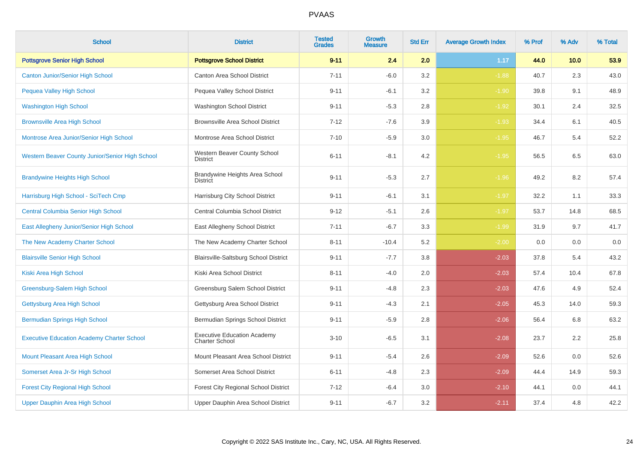| <b>School</b>                                     | <b>District</b>                                             | <b>Tested</b><br><b>Grades</b> | <b>Growth</b><br><b>Measure</b> | <b>Std Err</b> | <b>Average Growth Index</b> | % Prof | % Adv | % Total |
|---------------------------------------------------|-------------------------------------------------------------|--------------------------------|---------------------------------|----------------|-----------------------------|--------|-------|---------|
| <b>Pottsgrove Senior High School</b>              | <b>Pottsgrove School District</b>                           | $9 - 11$                       | 2.4                             | 2.0            | 1.17                        | 44.0   | 10.0  | 53.9    |
| <b>Canton Junior/Senior High School</b>           | Canton Area School District                                 | $7 - 11$                       | $-6.0$                          | 3.2            | $-1.88$                     | 40.7   | 2.3   | 43.0    |
| <b>Pequea Valley High School</b>                  | Pequea Valley School District                               | $9 - 11$                       | $-6.1$                          | 3.2            | $-1.90$                     | 39.8   | 9.1   | 48.9    |
| <b>Washington High School</b>                     | Washington School District                                  | $9 - 11$                       | $-5.3$                          | 2.8            | $-1.92$                     | 30.1   | 2.4   | 32.5    |
| <b>Brownsville Area High School</b>               | <b>Brownsville Area School District</b>                     | $7 - 12$                       | $-7.6$                          | 3.9            | $-1.93$                     | 34.4   | 6.1   | 40.5    |
| Montrose Area Junior/Senior High School           | Montrose Area School District                               | $7 - 10$                       | $-5.9$                          | 3.0            | $-1.95$                     | 46.7   | 5.4   | 52.2    |
| Western Beaver County Junior/Senior High School   | Western Beaver County School<br><b>District</b>             | $6 - 11$                       | $-8.1$                          | 4.2            | $-1.95$                     | 56.5   | 6.5   | 63.0    |
| <b>Brandywine Heights High School</b>             | Brandywine Heights Area School<br><b>District</b>           | $9 - 11$                       | $-5.3$                          | 2.7            | $-1.96$                     | 49.2   | 8.2   | 57.4    |
| Harrisburg High School - SciTech Cmp              | Harrisburg City School District                             | $9 - 11$                       | $-6.1$                          | 3.1            | $-1.97$                     | 32.2   | 1.1   | 33.3    |
| <b>Central Columbia Senior High School</b>        | Central Columbia School District                            | $9 - 12$                       | $-5.1$                          | 2.6            | $-1.97$                     | 53.7   | 14.8  | 68.5    |
| East Allegheny Junior/Senior High School          | East Allegheny School District                              | $7 - 11$                       | $-6.7$                          | 3.3            | $-1.99$                     | 31.9   | 9.7   | 41.7    |
| The New Academy Charter School                    | The New Academy Charter School                              | $8 - 11$                       | $-10.4$                         | 5.2            | $-2.00$                     | 0.0    | 0.0   | 0.0     |
| <b>Blairsville Senior High School</b>             | Blairsville-Saltsburg School District                       | $9 - 11$                       | $-7.7$                          | 3.8            | $-2.03$                     | 37.8   | 5.4   | 43.2    |
| Kiski Area High School                            | Kiski Area School District                                  | $8 - 11$                       | $-4.0$                          | 2.0            | $-2.03$                     | 57.4   | 10.4  | 67.8    |
| Greensburg-Salem High School                      | Greensburg Salem School District                            | $9 - 11$                       | $-4.8$                          | 2.3            | $-2.03$                     | 47.6   | 4.9   | 52.4    |
| Gettysburg Area High School                       | Gettysburg Area School District                             | $9 - 11$                       | $-4.3$                          | 2.1            | $-2.05$                     | 45.3   | 14.0  | 59.3    |
| <b>Bermudian Springs High School</b>              | Bermudian Springs School District                           | $9 - 11$                       | $-5.9$                          | 2.8            | $-2.06$                     | 56.4   | 6.8   | 63.2    |
| <b>Executive Education Academy Charter School</b> | <b>Executive Education Academy</b><br><b>Charter School</b> | $3 - 10$                       | $-6.5$                          | 3.1            | $-2.08$                     | 23.7   | 2.2   | 25.8    |
| Mount Pleasant Area High School                   | Mount Pleasant Area School District                         | $9 - 11$                       | $-5.4$                          | 2.6            | $-2.09$                     | 52.6   | 0.0   | 52.6    |
| Somerset Area Jr-Sr High School                   | Somerset Area School District                               | $6 - 11$                       | $-4.8$                          | 2.3            | $-2.09$                     | 44.4   | 14.9  | 59.3    |
| <b>Forest City Regional High School</b>           | Forest City Regional School District                        | $7 - 12$                       | $-6.4$                          | 3.0            | $-2.10$                     | 44.1   | 0.0   | 44.1    |
| Upper Dauphin Area High School                    | Upper Dauphin Area School District                          | $9 - 11$                       | $-6.7$                          | 3.2            | $-2.11$                     | 37.4   | 4.8   | 42.2    |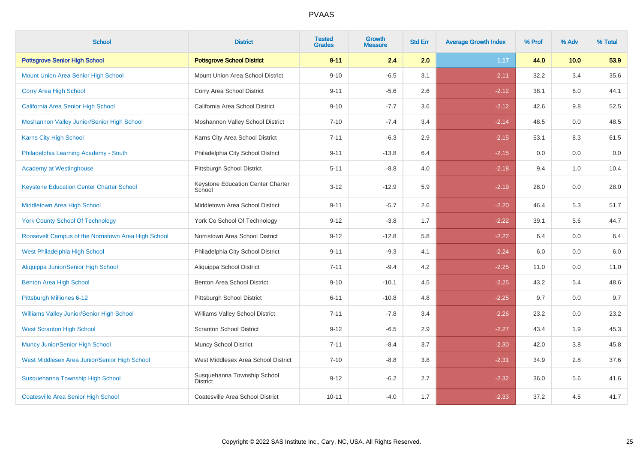| <b>School</b>                                       | <b>District</b>                                | <b>Tested</b><br><b>Grades</b> | <b>Growth</b><br><b>Measure</b> | <b>Std Err</b> | <b>Average Growth Index</b> | % Prof | % Adv | % Total |
|-----------------------------------------------------|------------------------------------------------|--------------------------------|---------------------------------|----------------|-----------------------------|--------|-------|---------|
| <b>Pottsgrove Senior High School</b>                | <b>Pottsgrove School District</b>              | $9 - 11$                       | 2.4                             | 2.0            | 1.17                        | 44.0   | 10.0  | 53.9    |
| <b>Mount Union Area Senior High School</b>          | Mount Union Area School District               | $9 - 10$                       | $-6.5$                          | 3.1            | $-2.11$                     | 32.2   | 3.4   | 35.6    |
| Corry Area High School                              | Corry Area School District                     | $9 - 11$                       | $-5.6$                          | 2.6            | $-2.12$                     | 38.1   | 6.0   | 44.1    |
| California Area Senior High School                  | California Area School District                | $9 - 10$                       | $-7.7$                          | 3.6            | $-2.12$                     | 42.6   | 9.8   | 52.5    |
| Moshannon Valley Junior/Senior High School          | Moshannon Valley School District               | $7 - 10$                       | $-7.4$                          | 3.4            | $-2.14$                     | 48.5   | 0.0   | 48.5    |
| Karns City High School                              | Karns City Area School District                | $7 - 11$                       | $-6.3$                          | 2.9            | $-2.15$                     | 53.1   | 8.3   | 61.5    |
| Philadelphia Learning Academy - South               | Philadelphia City School District              | $9 - 11$                       | $-13.8$                         | 6.4            | $-2.15$                     | 0.0    | 0.0   | $0.0\,$ |
| <b>Academy at Westinghouse</b>                      | Pittsburgh School District                     | $5 - 11$                       | $-8.8$                          | 4.0            | $-2.18$                     | 9.4    | 1.0   | 10.4    |
| <b>Keystone Education Center Charter School</b>     | Keystone Education Center Charter<br>School    | $3 - 12$                       | $-12.9$                         | 5.9            | $-2.19$                     | 28.0   | 0.0   | 28.0    |
| Middletown Area High School                         | Middletown Area School District                | $9 - 11$                       | $-5.7$                          | 2.6            | $-2.20$                     | 46.4   | 5.3   | 51.7    |
| <b>York County School Of Technology</b>             | York Co School Of Technology                   | $9 - 12$                       | $-3.8$                          | 1.7            | $-2.22$                     | 39.1   | 5.6   | 44.7    |
| Roosevelt Campus of the Norristown Area High School | Norristown Area School District                | $9 - 12$                       | $-12.8$                         | 5.8            | $-2.22$                     | 6.4    | 0.0   | $6.4\,$ |
| West Philadelphia High School                       | Philadelphia City School District              | $9 - 11$                       | $-9.3$                          | 4.1            | $-2.24$                     | 6.0    | 0.0   | $6.0\,$ |
| Aliquippa Junior/Senior High School                 | Aliquippa School District                      | $7 - 11$                       | $-9.4$                          | 4.2            | $-2.25$                     | 11.0   | 0.0   | 11.0    |
| <b>Benton Area High School</b>                      | Benton Area School District                    | $9 - 10$                       | $-10.1$                         | 4.5            | $-2.25$                     | 43.2   | 5.4   | 48.6    |
| Pittsburgh Milliones 6-12                           | Pittsburgh School District                     | $6 - 11$                       | $-10.8$                         | 4.8            | $-2.25$                     | 9.7    | 0.0   | 9.7     |
| Williams Valley Junior/Senior High School           | Williams Valley School District                | $7 - 11$                       | $-7.8$                          | 3.4            | $-2.26$                     | 23.2   | 0.0   | 23.2    |
| <b>West Scranton High School</b>                    | <b>Scranton School District</b>                | $9 - 12$                       | $-6.5$                          | 2.9            | $-2.27$                     | 43.4   | 1.9   | 45.3    |
| <b>Muncy Junior/Senior High School</b>              | <b>Muncy School District</b>                   | $7 - 11$                       | $-8.4$                          | 3.7            | $-2.30$                     | 42.0   | 3.8   | 45.8    |
| West Middlesex Area Junior/Senior High School       | West Middlesex Area School District            | $7 - 10$                       | $-8.8$                          | 3.8            | $-2.31$                     | 34.9   | 2.8   | 37.6    |
| Susquehanna Township High School                    | Susquehanna Township School<br><b>District</b> | $9 - 12$                       | $-6.2$                          | 2.7            | $-2.32$                     | 36.0   | 5.6   | 41.6    |
| <b>Coatesville Area Senior High School</b>          | Coatesville Area School District               | $10 - 11$                      | $-4.0$                          | 1.7            | $-2.33$                     | 37.2   | 4.5   | 41.7    |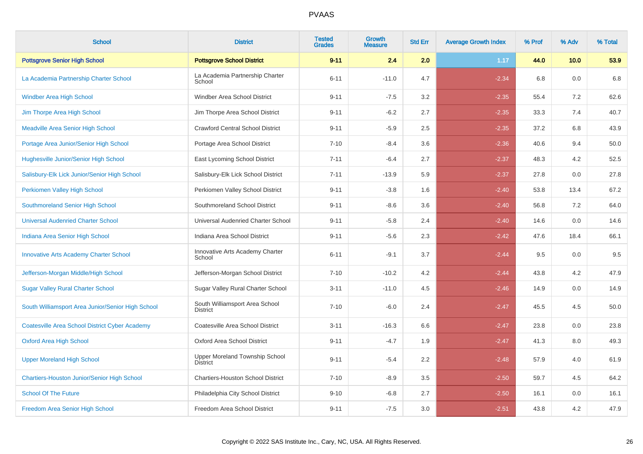| <b>School</b>                                         | <b>District</b>                                   | <b>Tested</b><br><b>Grades</b> | <b>Growth</b><br><b>Measure</b> | <b>Std Err</b> | <b>Average Growth Index</b> | % Prof | % Adv | % Total |
|-------------------------------------------------------|---------------------------------------------------|--------------------------------|---------------------------------|----------------|-----------------------------|--------|-------|---------|
| <b>Pottsgrove Senior High School</b>                  | <b>Pottsgrove School District</b>                 | $9 - 11$                       | 2.4                             | 2.0            | 1.17                        | 44.0   | 10.0  | 53.9    |
| La Academia Partnership Charter School                | La Academia Partnership Charter<br>School         | $6 - 11$                       | $-11.0$                         | 4.7            | $-2.34$                     | 6.8    | 0.0   | 6.8     |
| <b>Windber Area High School</b>                       | Windber Area School District                      | $9 - 11$                       | $-7.5$                          | 3.2            | $-2.35$                     | 55.4   | 7.2   | 62.6    |
| Jim Thorpe Area High School                           | Jim Thorpe Area School District                   | $9 - 11$                       | $-6.2$                          | 2.7            | $-2.35$                     | 33.3   | 7.4   | 40.7    |
| <b>Meadville Area Senior High School</b>              | <b>Crawford Central School District</b>           | $9 - 11$                       | $-5.9$                          | 2.5            | $-2.35$                     | 37.2   | 6.8   | 43.9    |
| Portage Area Junior/Senior High School                | Portage Area School District                      | $7 - 10$                       | $-8.4$                          | 3.6            | $-2.36$                     | 40.6   | 9.4   | 50.0    |
| <b>Hughesville Junior/Senior High School</b>          | East Lycoming School District                     | $7 - 11$                       | $-6.4$                          | 2.7            | $-2.37$                     | 48.3   | 4.2   | 52.5    |
| Salisbury-Elk Lick Junior/Senior High School          | Salisbury-Elk Lick School District                | $7 - 11$                       | $-13.9$                         | 5.9            | $-2.37$                     | 27.8   | 0.0   | 27.8    |
| Perkiomen Valley High School                          | Perkiomen Valley School District                  | $9 - 11$                       | $-3.8$                          | 1.6            | $-2.40$                     | 53.8   | 13.4  | 67.2    |
| Southmoreland Senior High School                      | Southmoreland School District                     | $9 - 11$                       | $-8.6$                          | 3.6            | $-2.40$                     | 56.8   | 7.2   | 64.0    |
| <b>Universal Audenried Charter School</b>             | Universal Audenried Charter School                | $9 - 11$                       | $-5.8$                          | 2.4            | $-2.40$                     | 14.6   | 0.0   | 14.6    |
| Indiana Area Senior High School                       | Indiana Area School District                      | $9 - 11$                       | $-5.6$                          | 2.3            | $-2.42$                     | 47.6   | 18.4  | 66.1    |
| <b>Innovative Arts Academy Charter School</b>         | Innovative Arts Academy Charter<br>School         | $6 - 11$                       | $-9.1$                          | 3.7            | $-2.44$                     | 9.5    | 0.0   | 9.5     |
| Jefferson-Morgan Middle/High School                   | Jefferson-Morgan School District                  | $7 - 10$                       | $-10.2$                         | 4.2            | $-2.44$                     | 43.8   | 4.2   | 47.9    |
| <b>Sugar Valley Rural Charter School</b>              | Sugar Valley Rural Charter School                 | $3 - 11$                       | $-11.0$                         | 4.5            | $-2.46$                     | 14.9   | 0.0   | 14.9    |
| South Williamsport Area Junior/Senior High School     | South Williamsport Area School<br><b>District</b> | $7 - 10$                       | $-6.0$                          | 2.4            | $-2.47$                     | 45.5   | 4.5   | 50.0    |
| <b>Coatesville Area School District Cyber Academy</b> | Coatesville Area School District                  | $3 - 11$                       | $-16.3$                         | 6.6            | $-2.47$                     | 23.8   | 0.0   | 23.8    |
| <b>Oxford Area High School</b>                        | Oxford Area School District                       | $9 - 11$                       | $-4.7$                          | 1.9            | $-2.47$                     | 41.3   | 8.0   | 49.3    |
| <b>Upper Moreland High School</b>                     | Upper Moreland Township School<br>District        | $9 - 11$                       | $-5.4$                          | 2.2            | $-2.48$                     | 57.9   | 4.0   | 61.9    |
| <b>Chartiers-Houston Junior/Senior High School</b>    | <b>Chartiers-Houston School District</b>          | $7 - 10$                       | $-8.9$                          | 3.5            | $-2.50$                     | 59.7   | 4.5   | 64.2    |
| <b>School Of The Future</b>                           | Philadelphia City School District                 | $9 - 10$                       | $-6.8$                          | 2.7            | $-2.50$                     | 16.1   | 0.0   | 16.1    |
| Freedom Area Senior High School                       | Freedom Area School District                      | $9 - 11$                       | $-7.5$                          | 3.0            | $-2.51$                     | 43.8   | 4.2   | 47.9    |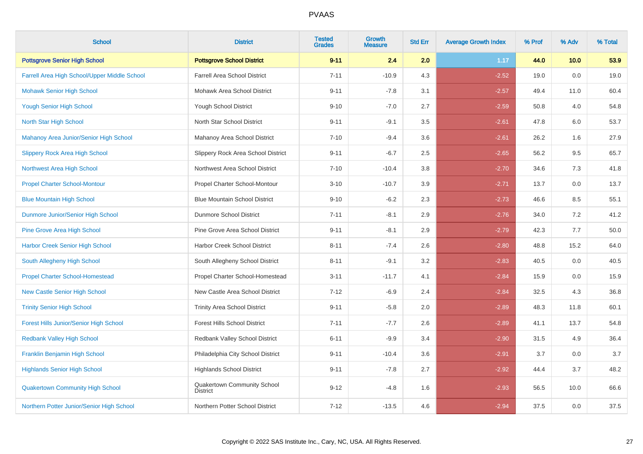| <b>School</b>                                 | <b>District</b>                                | <b>Tested</b><br><b>Grades</b> | Growth<br><b>Measure</b> | <b>Std Err</b> | <b>Average Growth Index</b> | % Prof | % Adv | % Total |
|-----------------------------------------------|------------------------------------------------|--------------------------------|--------------------------|----------------|-----------------------------|--------|-------|---------|
| <b>Pottsgrove Senior High School</b>          | <b>Pottsgrove School District</b>              | $9 - 11$                       | 2.4                      | 2.0            | 1.17                        | 44.0   | 10.0  | 53.9    |
| Farrell Area High School/Upper Middle School  | <b>Farrell Area School District</b>            | $7 - 11$                       | $-10.9$                  | 4.3            | $-2.52$                     | 19.0   | 0.0   | 19.0    |
| <b>Mohawk Senior High School</b>              | Mohawk Area School District                    | $9 - 11$                       | $-7.8$                   | 3.1            | $-2.57$                     | 49.4   | 11.0  | 60.4    |
| <b>Yough Senior High School</b>               | <b>Yough School District</b>                   | $9 - 10$                       | $-7.0$                   | 2.7            | $-2.59$                     | 50.8   | 4.0   | 54.8    |
| North Star High School                        | North Star School District                     | $9 - 11$                       | $-9.1$                   | 3.5            | $-2.61$                     | 47.8   | 6.0   | 53.7    |
| Mahanoy Area Junior/Senior High School        | Mahanoy Area School District                   | $7 - 10$                       | $-9.4$                   | 3.6            | $-2.61$                     | 26.2   | 1.6   | 27.9    |
| <b>Slippery Rock Area High School</b>         | Slippery Rock Area School District             | $9 - 11$                       | $-6.7$                   | 2.5            | $-2.65$                     | 56.2   | 9.5   | 65.7    |
| Northwest Area High School                    | Northwest Area School District                 | $7 - 10$                       | $-10.4$                  | 3.8            | $-2.70$                     | 34.6   | 7.3   | 41.8    |
| <b>Propel Charter School-Montour</b>          | Propel Charter School-Montour                  | $3 - 10$                       | $-10.7$                  | 3.9            | $-2.71$                     | 13.7   | 0.0   | 13.7    |
| <b>Blue Mountain High School</b>              | <b>Blue Mountain School District</b>           | $9 - 10$                       | $-6.2$                   | 2.3            | $-2.73$                     | 46.6   | 8.5   | 55.1    |
| Dunmore Junior/Senior High School             | Dunmore School District                        | $7 - 11$                       | $-8.1$                   | 2.9            | $-2.76$                     | 34.0   | 7.2   | 41.2    |
| <b>Pine Grove Area High School</b>            | Pine Grove Area School District                | $9 - 11$                       | $-8.1$                   | 2.9            | $-2.79$                     | 42.3   | 7.7   | 50.0    |
| <b>Harbor Creek Senior High School</b>        | Harbor Creek School District                   | $8 - 11$                       | $-7.4$                   | 2.6            | $-2.80$                     | 48.8   | 15.2  | 64.0    |
| South Allegheny High School                   | South Allegheny School District                | $8 - 11$                       | $-9.1$                   | 3.2            | $-2.83$                     | 40.5   | 0.0   | 40.5    |
| <b>Propel Charter School-Homestead</b>        | Propel Charter School-Homestead                | $3 - 11$                       | $-11.7$                  | 4.1            | $-2.84$                     | 15.9   | 0.0   | 15.9    |
| <b>New Castle Senior High School</b>          | New Castle Area School District                | $7 - 12$                       | $-6.9$                   | 2.4            | $-2.84$                     | 32.5   | 4.3   | 36.8    |
| <b>Trinity Senior High School</b>             | <b>Trinity Area School District</b>            | $9 - 11$                       | $-5.8$                   | $2.0\,$        | $-2.89$                     | 48.3   | 11.8  | 60.1    |
| <b>Forest Hills Junior/Senior High School</b> | Forest Hills School District                   | $7 - 11$                       | $-7.7$                   | 2.6            | $-2.89$                     | 41.1   | 13.7  | 54.8    |
| <b>Redbank Valley High School</b>             | Redbank Valley School District                 | $6 - 11$                       | $-9.9$                   | 3.4            | $-2.90$                     | 31.5   | 4.9   | 36.4    |
| <b>Franklin Benjamin High School</b>          | Philadelphia City School District              | $9 - 11$                       | $-10.4$                  | 3.6            | $-2.91$                     | 3.7    | 0.0   | 3.7     |
| <b>Highlands Senior High School</b>           | <b>Highlands School District</b>               | $9 - 11$                       | $-7.8$                   | 2.7            | $-2.92$                     | 44.4   | 3.7   | 48.2    |
| <b>Quakertown Community High School</b>       | Quakertown Community School<br><b>District</b> | $9 - 12$                       | $-4.8$                   | 1.6            | $-2.93$                     | 56.5   | 10.0  | 66.6    |
| Northern Potter Junior/Senior High School     | Northern Potter School District                | $7 - 12$                       | $-13.5$                  | 4.6            | $-2.94$                     | 37.5   | 0.0   | 37.5    |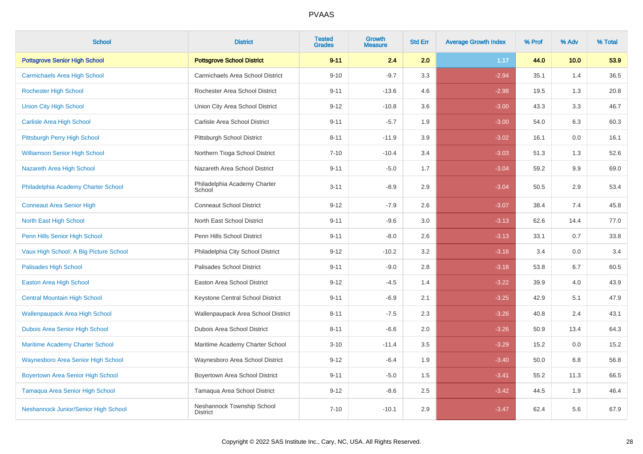| <b>School</b>                            | <b>District</b>                               | <b>Tested</b><br><b>Grades</b> | Growth<br><b>Measure</b> | <b>Std Err</b> | <b>Average Growth Index</b> | % Prof | % Adv | % Total |
|------------------------------------------|-----------------------------------------------|--------------------------------|--------------------------|----------------|-----------------------------|--------|-------|---------|
| <b>Pottsgrove Senior High School</b>     | <b>Pottsgrove School District</b>             | $9 - 11$                       | 2.4                      | 2.0            | 1.17                        | 44.0   | 10.0  | 53.9    |
| <b>Carmichaels Area High School</b>      | Carmichaels Area School District              | $9 - 10$                       | $-9.7$                   | 3.3            | $-2.94$                     | 35.1   | 1.4   | 36.5    |
| <b>Rochester High School</b>             | Rochester Area School District                | $9 - 11$                       | $-13.6$                  | 4.6            | $-2.98$                     | 19.5   | 1.3   | 20.8    |
| <b>Union City High School</b>            | Union City Area School District               | $9 - 12$                       | $-10.8$                  | 3.6            | $-3.00$                     | 43.3   | 3.3   | 46.7    |
| <b>Carlisle Area High School</b>         | Carlisle Area School District                 | $9 - 11$                       | $-5.7$                   | 1.9            | $-3.00$                     | 54.0   | 6.3   | 60.3    |
| Pittsburgh Perry High School             | Pittsburgh School District                    | $8 - 11$                       | $-11.9$                  | 3.9            | $-3.02$                     | 16.1   | 0.0   | 16.1    |
| <b>Williamson Senior High School</b>     | Northern Tioga School District                | $7 - 10$                       | $-10.4$                  | 3.4            | $-3.03$                     | 51.3   | 1.3   | 52.6    |
| Nazareth Area High School                | Nazareth Area School District                 | $9 - 11$                       | $-5.0$                   | 1.7            | $-3.04$                     | 59.2   | 9.9   | 69.0    |
| Philadelphia Academy Charter School      | Philadelphia Academy Charter<br>School        | $3 - 11$                       | $-8.9$                   | 2.9            | $-3.04$                     | 50.5   | 2.9   | 53.4    |
| <b>Conneaut Area Senior High</b>         | <b>Conneaut School District</b>               | $9 - 12$                       | $-7.9$                   | 2.6            | $-3.07$                     | 38.4   | 7.4   | 45.8    |
| North East High School                   | North East School District                    | $9 - 11$                       | $-9.6$                   | 3.0            | $-3.13$                     | 62.6   | 14.4  | 77.0    |
| Penn Hills Senior High School            | Penn Hills School District                    | $9 - 11$                       | $-8.0$                   | 2.6            | $-3.13$                     | 33.1   | 0.7   | 33.8    |
| Vaux High School: A Big Picture School   | Philadelphia City School District             | $9 - 12$                       | $-10.2$                  | 3.2            | $-3.16$                     | 3.4    | 0.0   | 3.4     |
| <b>Palisades High School</b>             | Palisades School District                     | $9 - 11$                       | $-9.0$                   | 2.8            | $-3.18$                     | 53.8   | 6.7   | 60.5    |
| <b>Easton Area High School</b>           | Easton Area School District                   | $9 - 12$                       | $-4.5$                   | 1.4            | $-3.22$                     | 39.9   | 4.0   | 43.9    |
| <b>Central Mountain High School</b>      | Keystone Central School District              | $9 - 11$                       | $-6.9$                   | 2.1            | $-3.25$                     | 42.9   | 5.1   | 47.9    |
| <b>Wallenpaupack Area High School</b>    | Wallenpaupack Area School District            | $8 - 11$                       | $-7.5$                   | $2.3\,$        | $-3.26$                     | 40.8   | 2.4   | 43.1    |
| Dubois Area Senior High School           | <b>Dubois Area School District</b>            | $8 - 11$                       | $-6.6$                   | 2.0            | $-3.26$                     | 50.9   | 13.4  | 64.3    |
| <b>Maritime Academy Charter School</b>   | Maritime Academy Charter School               | $3 - 10$                       | $-11.4$                  | 3.5            | $-3.29$                     | 15.2   | 0.0   | 15.2    |
| Waynesboro Area Senior High School       | Waynesboro Area School District               | $9 - 12$                       | $-6.4$                   | 1.9            | $-3.40$                     | 50.0   | 6.8   | 56.8    |
| <b>Boyertown Area Senior High School</b> | Boyertown Area School District                | $9 - 11$                       | $-5.0$                   | 1.5            | $-3.41$                     | 55.2   | 11.3  | 66.5    |
| Tamaqua Area Senior High School          | Tamaqua Area School District                  | $9 - 12$                       | $-8.6$                   | 2.5            | $-3.42$                     | 44.5   | 1.9   | 46.4    |
| Neshannock Junior/Senior High School     | Neshannock Township School<br><b>District</b> | $7 - 10$                       | $-10.1$                  | 2.9            | $-3.47$                     | 62.4   | 5.6   | 67.9    |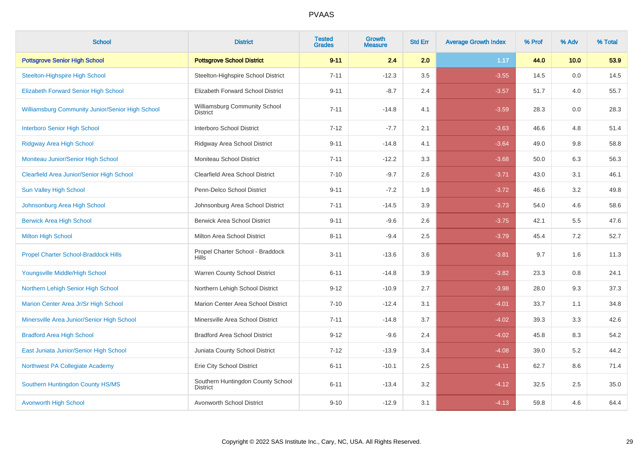| <b>School</b>                                           | <b>District</b>                                      | <b>Tested</b><br><b>Grades</b> | <b>Growth</b><br><b>Measure</b> | <b>Std Err</b> | <b>Average Growth Index</b> | % Prof | % Adv | % Total |
|---------------------------------------------------------|------------------------------------------------------|--------------------------------|---------------------------------|----------------|-----------------------------|--------|-------|---------|
| <b>Pottsgrove Senior High School</b>                    | <b>Pottsgrove School District</b>                    | $9 - 11$                       | 2.4                             | 2.0            | 1.17                        | 44.0   | 10.0  | 53.9    |
| <b>Steelton-Highspire High School</b>                   | Steelton-Highspire School District                   | $7 - 11$                       | $-12.3$                         | 3.5            | $-3.55$                     | 14.5   | 0.0   | 14.5    |
| <b>Elizabeth Forward Senior High School</b>             | Elizabeth Forward School District                    | $9 - 11$                       | $-8.7$                          | 2.4            | $-3.57$                     | 51.7   | 4.0   | 55.7    |
| <b>Williamsburg Community Junior/Senior High School</b> | Williamsburg Community School<br><b>District</b>     | $7 - 11$                       | $-14.8$                         | 4.1            | $-3.59$                     | 28.3   | 0.0   | 28.3    |
| <b>Interboro Senior High School</b>                     | Interboro School District                            | $7 - 12$                       | $-7.7$                          | 2.1            | $-3.63$                     | 46.6   | 4.8   | 51.4    |
| <b>Ridgway Area High School</b>                         | Ridgway Area School District                         | $9 - 11$                       | $-14.8$                         | 4.1            | $-3.64$                     | 49.0   | 9.8   | 58.8    |
| Moniteau Junior/Senior High School                      | Moniteau School District                             | $7 - 11$                       | $-12.2$                         | 3.3            | $-3.68$                     | 50.0   | 6.3   | 56.3    |
| <b>Clearfield Area Junior/Senior High School</b>        | Clearfield Area School District                      | $7 - 10$                       | $-9.7$                          | 2.6            | $-3.71$                     | 43.0   | 3.1   | 46.1    |
| <b>Sun Valley High School</b>                           | Penn-Delco School District                           | $9 - 11$                       | $-7.2$                          | 1.9            | $-3.72$                     | 46.6   | 3.2   | 49.8    |
| Johnsonburg Area High School                            | Johnsonburg Area School District                     | $7 - 11$                       | $-14.5$                         | 3.9            | $-3.73$                     | 54.0   | 4.6   | 58.6    |
| <b>Berwick Area High School</b>                         | <b>Berwick Area School District</b>                  | $9 - 11$                       | $-9.6$                          | 2.6            | $-3.75$                     | 42.1   | 5.5   | 47.6    |
| <b>Milton High School</b>                               | Milton Area School District                          | $8 - 11$                       | $-9.4$                          | 2.5            | $-3.79$                     | 45.4   | 7.2   | 52.7    |
| <b>Propel Charter School-Braddock Hills</b>             | Propel Charter School - Braddock<br><b>Hills</b>     | $3 - 11$                       | $-13.6$                         | 3.6            | $-3.81$                     | 9.7    | 1.6   | 11.3    |
| Youngsville Middle/High School                          | Warren County School District                        | $6 - 11$                       | $-14.8$                         | 3.9            | $-3.82$                     | 23.3   | 0.8   | 24.1    |
| Northern Lehigh Senior High School                      | Northern Lehigh School District                      | $9 - 12$                       | $-10.9$                         | 2.7            | $-3.98$                     | 28.0   | 9.3   | 37.3    |
| Marion Center Area Jr/Sr High School                    | Marion Center Area School District                   | $7 - 10$                       | $-12.4$                         | 3.1            | $-4.01$                     | 33.7   | 1.1   | 34.8    |
| Minersville Area Junior/Senior High School              | Minersville Area School District                     | $7 - 11$                       | $-14.8$                         | 3.7            | $-4.02$                     | 39.3   | 3.3   | 42.6    |
| <b>Bradford Area High School</b>                        | <b>Bradford Area School District</b>                 | $9 - 12$                       | $-9.6$                          | 2.4            | $-4.02$                     | 45.8   | 8.3   | 54.2    |
| East Juniata Junior/Senior High School                  | Juniata County School District                       | $7 - 12$                       | $-13.9$                         | 3.4            | $-4.08$                     | 39.0   | 5.2   | 44.2    |
| Northwest PA Collegiate Academy                         | Erie City School District                            | $6 - 11$                       | $-10.1$                         | 2.5            | $-4.11$                     | 62.7   | 8.6   | 71.4    |
| Southern Huntingdon County HS/MS                        | Southern Huntingdon County School<br><b>District</b> | $6 - 11$                       | $-13.4$                         | 3.2            | $-4.12$                     | 32.5   | 2.5   | 35.0    |
| <b>Avonworth High School</b>                            | Avonworth School District                            | $9 - 10$                       | $-12.9$                         | 3.1            | $-4.13$                     | 59.8   | 4.6   | 64.4    |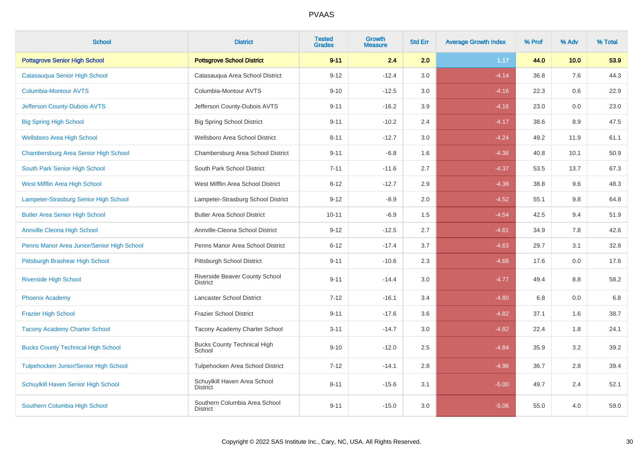| <b>School</b>                              | <b>District</b>                                  | <b>Tested</b><br><b>Grades</b> | <b>Growth</b><br><b>Measure</b> | <b>Std Err</b> | <b>Average Growth Index</b> | % Prof | % Adv   | % Total |
|--------------------------------------------|--------------------------------------------------|--------------------------------|---------------------------------|----------------|-----------------------------|--------|---------|---------|
| <b>Pottsgrove Senior High School</b>       | <b>Pottsgrove School District</b>                | $9 - 11$                       | 2.4                             | 2.0            | 1.17                        | 44.0   | 10.0    | 53.9    |
| Catasauqua Senior High School              | Catasauqua Area School District                  | $9 - 12$                       | $-12.4$                         | 3.0            | $-4.14$                     | 36.8   | 7.6     | 44.3    |
| <b>Columbia-Montour AVTS</b>               | Columbia-Montour AVTS                            | $9 - 10$                       | $-12.5$                         | 3.0            | $-4.16$                     | 22.3   | 0.6     | 22.9    |
| Jefferson County-Dubois AVTS               | Jefferson County-Dubois AVTS                     | $9 - 11$                       | $-16.2$                         | 3.9            | $-4.16$                     | 23.0   | $0.0\,$ | 23.0    |
| <b>Big Spring High School</b>              | <b>Big Spring School District</b>                | $9 - 11$                       | $-10.2$                         | 2.4            | $-4.17$                     | 38.6   | 8.9     | 47.5    |
| <b>Wellsboro Area High School</b>          | Wellsboro Area School District                   | $8 - 11$                       | $-12.7$                         | 3.0            | $-4.24$                     | 49.2   | 11.9    | 61.1    |
| Chambersburg Area Senior High School       | Chambersburg Area School District                | $9 - 11$                       | $-6.8$                          | 1.6            | $-4.36$                     | 40.8   | 10.1    | 50.9    |
| South Park Senior High School              | South Park School District                       | $7 - 11$                       | $-11.6$                         | 2.7            | $-4.37$                     | 53.5   | 13.7    | 67.3    |
| West Mifflin Area High School              | West Mifflin Area School District                | $8 - 12$                       | $-12.7$                         | 2.9            | $-4.38$                     | 38.8   | 9.6     | 48.3    |
| Lampeter-Strasburg Senior High School      | Lampeter-Strasburg School District               | $9 - 12$                       | $-8.9$                          | 2.0            | $-4.52$                     | 55.1   | 9.8     | 64.8    |
| <b>Butler Area Senior High School</b>      | <b>Butler Area School District</b>               | $10 - 11$                      | $-6.9$                          | 1.5            | $-4.54$                     | 42.5   | 9.4     | 51.9    |
| <b>Annville Cleona High School</b>         | Annville-Cleona School District                  | $9 - 12$                       | $-12.5$                         | 2.7            | $-4.61$                     | 34.9   | 7.8     | 42.6    |
| Penns Manor Area Junior/Senior High School | Penns Manor Area School District                 | $6 - 12$                       | $-17.4$                         | 3.7            | $-4.63$                     | 29.7   | 3.1     | 32.8    |
| Pittsburgh Brashear High School            | Pittsburgh School District                       | $9 - 11$                       | $-10.6$                         | 2.3            | $-4.68$                     | 17.6   | 0.0     | 17.6    |
| <b>Riverside High School</b>               | Riverside Beaver County School<br>District       | $9 - 11$                       | $-14.4$                         | 3.0            | $-4.77$                     | 49.4   | 8.8     | 58.2    |
| <b>Phoenix Academy</b>                     | Lancaster School District                        | $7 - 12$                       | $-16.1$                         | 3.4            | $-4.80$                     | 6.8    | 0.0     | 6.8     |
| <b>Frazier High School</b>                 | <b>Frazier School District</b>                   | $9 - 11$                       | $-17.6$                         | 3.6            | $-4.82$                     | 37.1   | 1.6     | 38.7    |
| <b>Tacony Academy Charter School</b>       | Tacony Academy Charter School                    | $3 - 11$                       | $-14.7$                         | 3.0            | $-4.82$                     | 22.4   | 1.8     | 24.1    |
| <b>Bucks County Technical High School</b>  | <b>Bucks County Technical High</b><br>School     | $9 - 10$                       | $-12.0$                         | 2.5            | $-4.84$                     | 35.9   | 3.2     | 39.2    |
| Tulpehocken Junior/Senior High School      | Tulpehocken Area School District                 | $7 - 12$                       | $-14.1$                         | 2.8            | $-4.96$                     | 36.7   | 2.8     | 39.4    |
| Schuylkill Haven Senior High School        | Schuylkill Haven Area School<br><b>District</b>  | $8 - 11$                       | $-15.6$                         | 3.1            | $-5.00$                     | 49.7   | 2.4     | 52.1    |
| Southern Columbia High School              | Southern Columbia Area School<br><b>District</b> | $9 - 11$                       | $-15.0$                         | 3.0            | $-5.06$                     | 55.0   | 4.0     | 59.0    |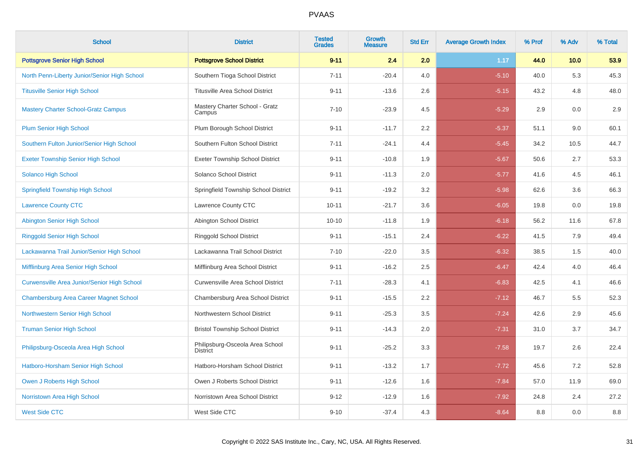| <b>School</b>                                      | <b>District</b>                                    | <b>Tested</b><br><b>Grades</b> | Growth<br><b>Measure</b> | <b>Std Err</b> | <b>Average Growth Index</b> | % Prof | % Adv | % Total |
|----------------------------------------------------|----------------------------------------------------|--------------------------------|--------------------------|----------------|-----------------------------|--------|-------|---------|
| <b>Pottsgrove Senior High School</b>               | <b>Pottsgrove School District</b>                  | $9 - 11$                       | 2.4                      | 2.0            | 1.17                        | 44.0   | 10.0  | 53.9    |
| North Penn-Liberty Junior/Senior High School       | Southern Tioga School District                     | $7 - 11$                       | $-20.4$                  | 4.0            | $-5.10$                     | 40.0   | 5.3   | 45.3    |
| <b>Titusville Senior High School</b>               | <b>Titusville Area School District</b>             | $9 - 11$                       | $-13.6$                  | 2.6            | $-5.15$                     | 43.2   | 4.8   | 48.0    |
| <b>Mastery Charter School-Gratz Campus</b>         | Mastery Charter School - Gratz<br>Campus           | $7 - 10$                       | $-23.9$                  | 4.5            | $-5.29$                     | 2.9    | 0.0   | 2.9     |
| <b>Plum Senior High School</b>                     | Plum Borough School District                       | $9 - 11$                       | $-11.7$                  | 2.2            | $-5.37$                     | 51.1   | 9.0   | 60.1    |
| Southern Fulton Junior/Senior High School          | Southern Fulton School District                    | $7 - 11$                       | $-24.1$                  | 4.4            | $-5.45$                     | 34.2   | 10.5  | 44.7    |
| <b>Exeter Township Senior High School</b>          | <b>Exeter Township School District</b>             | $9 - 11$                       | $-10.8$                  | 1.9            | $-5.67$                     | 50.6   | 2.7   | 53.3    |
| Solanco High School                                | Solanco School District                            | $9 - 11$                       | $-11.3$                  | 2.0            | $-5.77$                     | 41.6   | 4.5   | 46.1    |
| <b>Springfield Township High School</b>            | Springfield Township School District               | $9 - 11$                       | $-19.2$                  | 3.2            | $-5.98$                     | 62.6   | 3.6   | 66.3    |
| <b>Lawrence County CTC</b>                         | Lawrence County CTC                                | $10 - 11$                      | $-21.7$                  | 3.6            | $-6.05$                     | 19.8   | 0.0   | 19.8    |
| Abington Senior High School                        | Abington School District                           | $10 - 10$                      | $-11.8$                  | 1.9            | $-6.18$                     | 56.2   | 11.6  | 67.8    |
| <b>Ringgold Senior High School</b>                 | Ringgold School District                           | $9 - 11$                       | $-15.1$                  | 2.4            | $-6.22$                     | 41.5   | 7.9   | 49.4    |
| Lackawanna Trail Junior/Senior High School         | Lackawanna Trail School District                   | $7 - 10$                       | $-22.0$                  | 3.5            | $-6.32$                     | 38.5   | 1.5   | 40.0    |
| Mifflinburg Area Senior High School                | Mifflinburg Area School District                   | $9 - 11$                       | $-16.2$                  | 2.5            | $-6.47$                     | 42.4   | 4.0   | 46.4    |
| <b>Curwensville Area Junior/Senior High School</b> | <b>Curwensville Area School District</b>           | $7 - 11$                       | $-28.3$                  | 4.1            | $-6.83$                     | 42.5   | 4.1   | 46.6    |
| <b>Chambersburg Area Career Magnet School</b>      | Chambersburg Area School District                  | $9 - 11$                       | $-15.5$                  | 2.2            | $-7.12$                     | 46.7   | 5.5   | 52.3    |
| Northwestern Senior High School                    | Northwestern School District                       | $9 - 11$                       | $-25.3$                  | 3.5            | $-7.24$                     | 42.6   | 2.9   | 45.6    |
| <b>Truman Senior High School</b>                   | <b>Bristol Township School District</b>            | $9 - 11$                       | $-14.3$                  | 2.0            | $-7.31$                     | 31.0   | 3.7   | 34.7    |
| Philipsburg-Osceola Area High School               | Philipsburg-Osceola Area School<br><b>District</b> | $9 - 11$                       | $-25.2$                  | 3.3            | $-7.58$                     | 19.7   | 2.6   | 22.4    |
| Hatboro-Horsham Senior High School                 | Hatboro-Horsham School District                    | $9 - 11$                       | $-13.2$                  | 1.7            | $-7.72$                     | 45.6   | 7.2   | 52.8    |
| Owen J Roberts High School                         | Owen J Roberts School District                     | $9 - 11$                       | $-12.6$                  | 1.6            | $-7.84$                     | 57.0   | 11.9  | 69.0    |
| Norristown Area High School                        | Norristown Area School District                    | $9 - 12$                       | $-12.9$                  | 1.6            | $-7.92$                     | 24.8   | 2.4   | 27.2    |
| <b>West Side CTC</b>                               | West Side CTC                                      | $9 - 10$                       | $-37.4$                  | 4.3            | $-8.64$                     | 8.8    | 0.0   | $8.8\,$ |